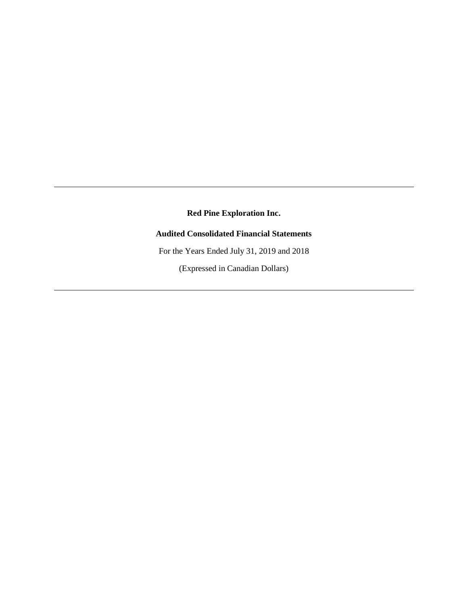## **Red Pine Exploration Inc.**

## **Audited Consolidated Financial Statements**

For the Years Ended July 31, 2019 and 2018

(Expressed in Canadian Dollars)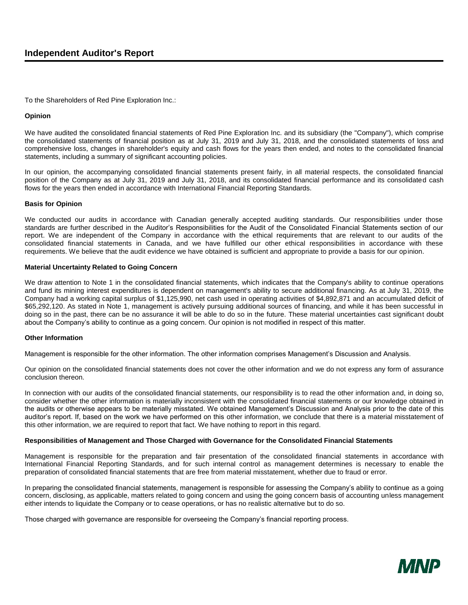To the Shareholders of Red Pine Exploration Inc.:

#### **Opinion**

We have audited the consolidated financial statements of Red Pine Exploration Inc. and its subsidiary (the "Company"), which comprise the consolidated statements of financial position as at July 31, 2019 and July 31, 2018, and the consolidated statements of loss and comprehensive loss, changes in shareholder's equity and cash flows for the years then ended, and notes to the consolidated financial statements, including a summary of significant accounting policies.

In our opinion, the accompanying consolidated financial statements present fairly, in all material respects, the consolidated financial position of the Company as at July 31, 2019 and July 31, 2018, and its consolidated financial performance and its consolidated cash flows for the years then ended in accordance with International Financial Reporting Standards.

### **Basis for Opinion**

We conducted our audits in accordance with Canadian generally accepted auditing standards. Our responsibilities under those standards are further described in the Auditor's Responsibilities for the Audit of the Consolidated Financial Statements section of our report. We are independent of the Company in accordance with the ethical requirements that are relevant to our audits of the consolidated financial statements in Canada, and we have fulfilled our other ethical responsibilities in accordance with these requirements. We believe that the audit evidence we have obtained is sufficient and appropriate to provide a basis for our opinion.

#### **Material Uncertainty Related to Going Concern**

We draw attention to Note 1 in the consolidated financial statements, which indicates that the Company's ability to continue operations and fund its mining interest expenditures is dependent on management's ability to secure additional financing. As at July 31, 2019, the Company had a working capital surplus of \$1,125,990, net cash used in operating activities of \$4,892,871 and an accumulated deficit of \$65,292,120. As stated in Note 1, management is actively pursuing additional sources of financing, and while it has been successful in doing so in the past, there can be no assurance it will be able to do so in the future. These material uncertainties cast significant doubt about the Company's ability to continue as a going concern. Our opinion is not modified in respect of this matter.

#### **Other Information**

Management is responsible for the other information. The other information comprises Management's Discussion and Analysis.

Our opinion on the consolidated financial statements does not cover the other information and we do not express any form of assurance conclusion thereon.

In connection with our audits of the consolidated financial statements, our responsibility is to read the other information and, in doing so, consider whether the other information is materially inconsistent with the consolidated financial statements or our knowledge obtained in the audits or otherwise appears to be materially misstated. We obtained Management's Discussion and Analysis prior to the date of this auditor's report. If, based on the work we have performed on this other information, we conclude that there is a material misstatement of this other information, we are required to report that fact. We have nothing to report in this regard.

#### **Responsibilities of Management and Those Charged with Governance for the Consolidated Financial Statements**

Management is responsible for the preparation and fair presentation of the consolidated financial statements in accordance with International Financial Reporting Standards, and for such internal control as management determines is necessary to enable the preparation of consolidated financial statements that are free from material misstatement, whether due to fraud or error.

In preparing the consolidated financial statements, management is responsible for assessing the Company's ability to continue as a going concern, disclosing, as applicable, matters related to going concern and using the going concern basis of accounting unless management either intends to liquidate the Company or to cease operations, or has no realistic alternative but to do so.

Those charged with governance are responsible for overseeing the Company's financial reporting process.

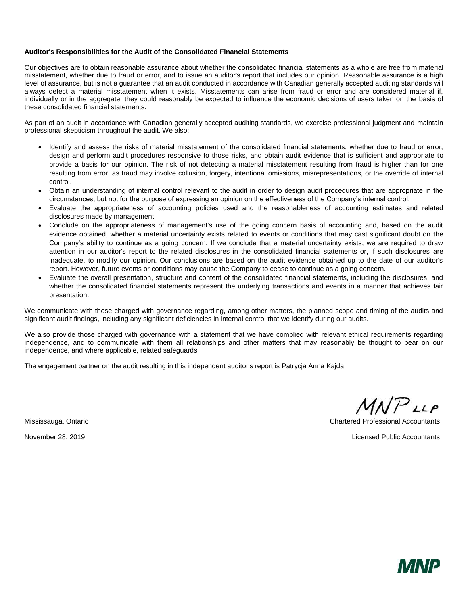#### **Auditor's Responsibilities for the Audit of the Consolidated Financial Statements**

Our objectives are to obtain reasonable assurance about whether the consolidated financial statements as a whole are free from material misstatement, whether due to fraud or error, and to issue an auditor's report that includes our opinion. Reasonable assurance is a high level of assurance, but is not a guarantee that an audit conducted in accordance with Canadian generally accepted auditing standards will always detect a material misstatement when it exists. Misstatements can arise from fraud or error and are considered material if, individually or in the aggregate, they could reasonably be expected to influence the economic decisions of users taken on the basis of these consolidated financial statements.

As part of an audit in accordance with Canadian generally accepted auditing standards, we exercise professional judgment and maintain professional skepticism throughout the audit. We also:

- Identify and assess the risks of material misstatement of the consolidated financial statements, whether due to fraud or error, design and perform audit procedures responsive to those risks, and obtain audit evidence that is sufficient and appropriate to provide a basis for our opinion. The risk of not detecting a material misstatement resulting from fraud is higher than for one resulting from error, as fraud may involve collusion, forgery, intentional omissions, misrepresentations, or the override of internal control.
- Obtain an understanding of internal control relevant to the audit in order to design audit procedures that are appropriate in the circumstances, but not for the purpose of expressing an opinion on the effectiveness of the Company's internal control.
- Evaluate the appropriateness of accounting policies used and the reasonableness of accounting estimates and related disclosures made by management.
- Conclude on the appropriateness of management's use of the going concern basis of accounting and, based on the audit evidence obtained, whether a material uncertainty exists related to events or conditions that may cast significant doubt on the Company's ability to continue as a going concern. If we conclude that a material uncertainty exists, we are required to draw attention in our auditor's report to the related disclosures in the consolidated financial statements or, if such disclosures are inadequate, to modify our opinion. Our conclusions are based on the audit evidence obtained up to the date of our auditor's report. However, future events or conditions may cause the Company to cease to continue as a going concern.
- Evaluate the overall presentation, structure and content of the consolidated financial statements, including the disclosures, and whether the consolidated financial statements represent the underlying transactions and events in a manner that achieves fair presentation.

We communicate with those charged with governance regarding, among other matters, the planned scope and timing of the audits and significant audit findings, including any significant deficiencies in internal control that we identify during our audits.

We also provide those charged with governance with a statement that we have complied with relevant ethical requirements regarding independence, and to communicate with them all relationships and other matters that may reasonably be thought to bear on our independence, and where applicable, related safeguards.

The engagement partner on the audit resulting in this independent auditor's report is Patrycja Anna Kajda.

 $M$  $\Lambda$ / $P$ <sub> $LL$ </sub> $\rho$ 

Mississauga, Ontario Chartered Professional Accountants

November 28, 2019 Licensed Public Accountants

# **MNP**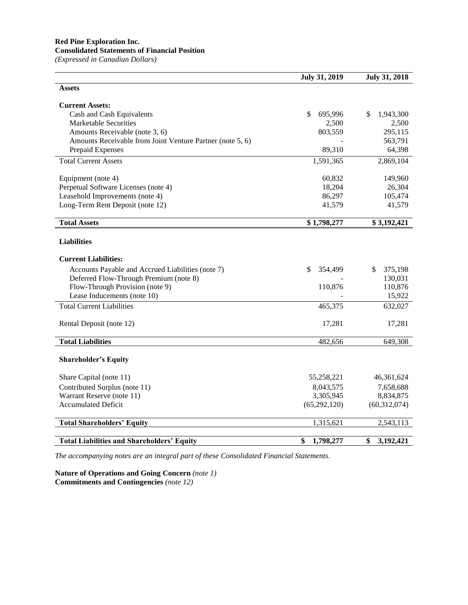### **Red Pine Exploration Inc. Consolidated Statements of Financial Position**

*(Expressed in Canadian Dollars)*

|                                                           | <b>July 31, 2019</b> | <b>July 31, 2018</b> |
|-----------------------------------------------------------|----------------------|----------------------|
| <b>Assets</b>                                             |                      |                      |
|                                                           |                      |                      |
| <b>Current Assets:</b>                                    |                      |                      |
| Cash and Cash Equivalents                                 | \$<br>695,996        | 1,943,300<br>\$      |
| <b>Marketable Securities</b>                              | 2,500                | 2,500                |
| Amounts Receivable (note 3, 6)                            | 803,559              | 295,115              |
| Amounts Receivable from Joint Venture Partner (note 5, 6) |                      | 563,791              |
| Prepaid Expenses                                          | 89,310               | 64,398               |
| <b>Total Current Assets</b>                               | 1,591,365            | 2,869,104            |
| Equipment (note 4)                                        | 60,832               | 149,960              |
| Perpetual Software Licenses (note 4)                      | 18,204               | 26,304               |
| Leasehold Improvements (note 4)                           | 86,297               | 105,474              |
| Long-Term Rent Deposit (note 12)                          | 41,579               | 41,579               |
|                                                           |                      |                      |
| <b>Total Assets</b>                                       | \$1,798,277          | \$3,192,421          |
|                                                           |                      |                      |
| <b>Liabilities</b>                                        |                      |                      |
| <b>Current Liabilities:</b>                               |                      |                      |
| Accounts Payable and Accrued Liabilities (note 7)         | \$<br>354,499        | 375,198<br>\$        |
| Deferred Flow-Through Premium (note 8)                    |                      | 130,031              |
| Flow-Through Provision (note 9)                           | 110,876              | 110,876              |
| Lease Inducements (note 10)                               |                      | 15,922               |
| <b>Total Current Liabilities</b>                          | 465,375              | 632,027              |
|                                                           |                      |                      |
| Rental Deposit (note 12)                                  | 17,281               | 17,281               |
|                                                           |                      |                      |
| <b>Total Liabilities</b>                                  | 482,656              | 649,308              |
| <b>Shareholder's Equity</b>                               |                      |                      |
|                                                           |                      |                      |
| Share Capital (note 11)                                   | 55,258,221           | 46, 361, 624         |
| Contributed Surplus (note 11)                             | 8,043,575            | 7,658,688            |
| Warrant Reserve (note 11)                                 | 3,305,945            | 8,834,875            |
| <b>Accumulated Deficit</b>                                | (65, 292, 120)       | (60, 312, 074)       |
|                                                           |                      |                      |
| <b>Total Shareholders' Equity</b>                         | 1,315,621            | 2,543,113            |
| <b>Total Liabilities and Shareholders' Equity</b>         | \$<br>1,798,277      | \$<br>3,192,421      |

*The accompanying notes are an integral part of these Consolidated Financial Statements.*

**Nature of Operations and Going Concern** *(note 1)* **Commitments and Contingencies** *(note 12)*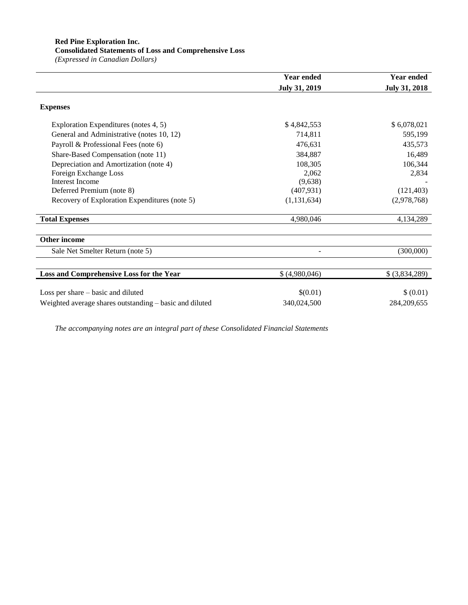### **Red Pine Exploration Inc. Consolidated Statements of Loss and Comprehensive Loss**

*(Expressed in Canadian Dollars)*

|                                                         | <b>Year ended</b>    | <b>Year ended</b>    |
|---------------------------------------------------------|----------------------|----------------------|
|                                                         | <b>July 31, 2019</b> | <b>July 31, 2018</b> |
| <b>Expenses</b>                                         |                      |                      |
| Exploration Expenditures (notes 4, 5)                   | \$4,842,553          | \$6,078,021          |
| General and Administrative (notes 10, 12)               | 714,811              | 595,199              |
| Payroll & Professional Fees (note 6)                    | 476,631              | 435,573              |
| Share-Based Compensation (note 11)                      | 384,887              | 16,489               |
| Depreciation and Amortization (note 4)                  | 108.305              | 106,344              |
| Foreign Exchange Loss                                   | 2,062                | 2,834                |
| <b>Interest Income</b>                                  | (9,638)              |                      |
| Deferred Premium (note 8)                               | (407, 931)           | (121, 403)           |
| Recovery of Exploration Expenditures (note 5)           | (1, 131, 634)        | (2,978,768)          |
| <b>Total Expenses</b>                                   | 4,980,046            | 4,134,289            |
| Other income                                            |                      |                      |
| Sale Net Smelter Return (note 5)                        |                      | (300,000)            |
|                                                         |                      |                      |
| Loss and Comprehensive Loss for the Year                | \$(4,980,046)        | \$ (3,834,289)       |
| Loss per share – basic and diluted                      | \$(0.01)             | \$ (0.01)            |
| Weighted average shares outstanding – basic and diluted | 340,024,500          | 284, 209, 655        |

*The accompanying notes are an integral part of these Consolidated Financial Statements*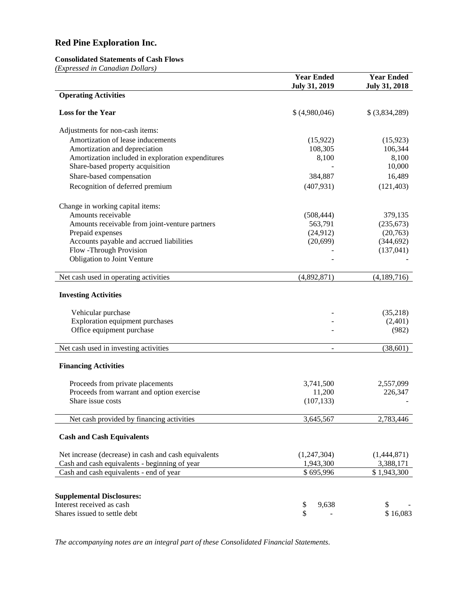## **Red Pine Exploration Inc.**

### **Consolidated Statements of Cash Flows**

*(Expressed in Canadian Dollars)*

|                                                           | <b>Year Ended</b>    | <b>Year Ended</b>    |
|-----------------------------------------------------------|----------------------|----------------------|
|                                                           | <b>July 31, 2019</b> | <b>July 31, 2018</b> |
| <b>Operating Activities</b>                               |                      |                      |
| <b>Loss for the Year</b>                                  | \$ (4,980,046)       | \$(3,834,289)        |
| Adjustments for non-cash items:                           |                      |                      |
| Amortization of lease inducements                         | (15, 922)            | (15, 923)            |
| Amortization and depreciation                             | 108,305              | 106,344              |
| Amortization included in exploration expenditures         | 8,100                | 8,100                |
| Share-based property acquisition                          |                      | 10,000               |
| Share-based compensation                                  | 384,887              | 16,489               |
| Recognition of deferred premium                           | (407, 931)           | (121, 403)           |
| Change in working capital items:                          |                      |                      |
| Amounts receivable                                        | (508, 444)           | 379,135              |
| Amounts receivable from joint-venture partners            | 563,791              | (235, 673)           |
| Prepaid expenses                                          | (24, 912)            | (20,763)             |
| Accounts payable and accrued liabilities                  | (20,699)             | (344, 692)           |
| Flow -Through Provision                                   |                      | (137, 041)           |
| Obligation to Joint Venture                               |                      |                      |
| Net cash used in operating activities                     | (4,892,871)          | (4,189,716)          |
|                                                           |                      |                      |
| <b>Investing Activities</b>                               |                      |                      |
| Vehicular purchase                                        |                      | (35,218)             |
| Exploration equipment purchases                           |                      | (2,401)              |
| Office equipment purchase                                 |                      | (982)                |
| Net cash used in investing activities                     |                      | (38,601)             |
| <b>Financing Activities</b>                               |                      |                      |
| Proceeds from private placements                          | 3,741,500            | 2,557,099            |
| Proceeds from warrant and option exercise                 | 11,200               | 226,347              |
| Share issue costs                                         | (107, 133)           |                      |
| Net cash provided by financing activities                 | 3,645,567            | 2,783,446            |
| <b>Cash and Cash Equivalents</b>                          |                      |                      |
| Net increase (decrease) in cash and cash equivalents      | (1,247,304)          | (1,444,871)          |
| Cash and cash equivalents - beginning of year             | 1,943,300            | 3,388,171            |
| Cash and cash equivalents - end of year                   | \$695,996            | \$1,943,300          |
|                                                           |                      |                      |
| <b>Supplemental Disclosures:</b>                          |                      |                      |
| Interest received as cash<br>Shares issued to settle debt | 9,638<br>\$<br>\$    | \$                   |
|                                                           |                      | \$16,083             |

*The accompanying notes are an integral part of these Consolidated Financial Statements.*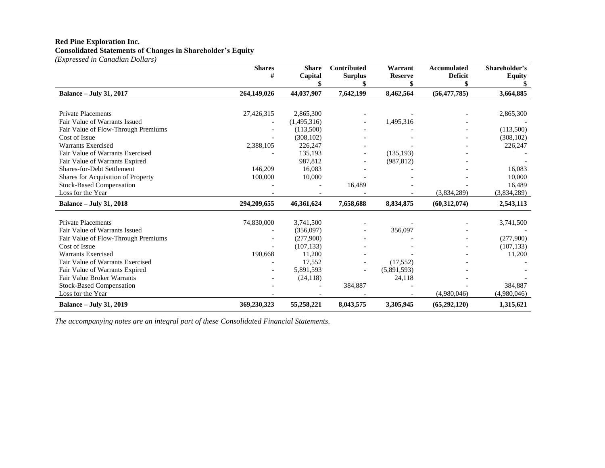### **Red Pine Exploration Inc.**

### **Consolidated Statements of Changes in Shareholder's Equity**

*(Expressed in Canadian Dollars)*

|                                     | <b>Shares</b> | <b>Share</b> | <b>Contributed</b>       | Warrant        | <b>Accumulated</b> | Shareholder's |
|-------------------------------------|---------------|--------------|--------------------------|----------------|--------------------|---------------|
|                                     | #             | Capital      | <b>Surplus</b>           | <b>Reserve</b> | <b>Deficit</b>     | <b>Equity</b> |
|                                     |               |              |                          |                |                    |               |
| <b>Balance - July 31, 2017</b>      | 264,149,026   | 44,037,907   | 7,642,199                | 8,462,564      | (56, 477, 785)     | 3,664,885     |
|                                     |               |              |                          |                |                    |               |
| <b>Private Placements</b>           | 27,426,315    | 2,865,300    |                          |                |                    | 2,865,300     |
| Fair Value of Warrants Issued       |               | (1,495,316)  |                          | 1,495,316      |                    |               |
| Fair Value of Flow-Through Premiums |               | (113,500)    |                          |                |                    | (113,500)     |
| Cost of Issue                       |               | (308, 102)   |                          |                |                    | (308, 102)    |
| <b>Warrants Exercised</b>           | 2,388,105     | 226,247      |                          |                |                    | 226,247       |
| Fair Value of Warrants Exercised    |               | 135,193      |                          | (135, 193)     |                    |               |
| Fair Value of Warrants Expired      |               | 987,812      |                          | (987, 812)     |                    |               |
| <b>Shares-for-Debt Settlement</b>   | 146,209       | 16.083       |                          |                |                    | 16.083        |
| Shares for Acquisition of Property  | 100,000       | 10,000       |                          |                |                    | 10,000        |
| <b>Stock-Based Compensation</b>     |               |              | 16,489                   |                |                    | 16,489        |
| Loss for the Year                   |               |              |                          |                | (3,834,289)        | (3,834,289)   |
| <b>Balance – July 31, 2018</b>      | 294,209,655   | 46,361,624   | 7,658,688                | 8,834,875      | (60,312,074)       | 2,543,113     |
| <b>Private Placements</b>           | 74,830,000    | 3,741,500    |                          |                |                    | 3,741,500     |
| Fair Value of Warrants Issued       |               | (356,097)    |                          | 356,097        |                    |               |
| Fair Value of Flow-Through Premiums |               | (277,900)    |                          |                |                    | (277,900)     |
| Cost of Issue                       |               | (107, 133)   |                          |                |                    | (107, 133)    |
| <b>Warrants Exercised</b>           | 190,668       | 11.200       |                          |                |                    | 11,200        |
| Fair Value of Warrants Exercised    |               | 17,552       |                          | (17, 552)      |                    |               |
| Fair Value of Warrants Expired      |               | 5,891,593    | $\overline{\phantom{a}}$ | (5,891,593)    |                    |               |
| Fair Value Broker Warrants          |               | (24, 118)    |                          | 24,118         |                    |               |
| <b>Stock-Based Compensation</b>     |               |              | 384,887                  |                |                    | 384,887       |
| Loss for the Year                   |               |              |                          |                | (4,980,046)        | (4,980,046)   |
| <b>Balance – July 31, 2019</b>      | 369,230,323   | 55,258,221   | 8,043,575                | 3,305,945      | (65,292,120)       | 1,315,621     |

*The accompanying notes are an integral part of these Consolidated Financial Statements.*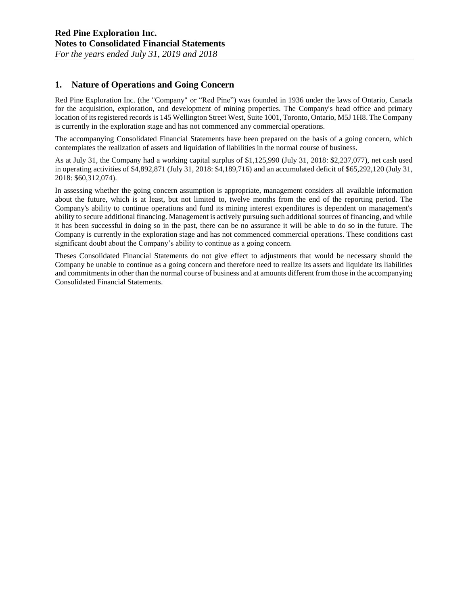## **1. Nature of Operations and Going Concern**

Red Pine Exploration Inc. (the "Company" or "Red Pine") was founded in 1936 under the laws of Ontario, Canada for the acquisition, exploration, and development of mining properties. The Company's head office and primary location of its registered records is 145 Wellington Street West, Suite 1001, Toronto, Ontario, M5J 1H8. The Company is currently in the exploration stage and has not commenced any commercial operations.

The accompanying Consolidated Financial Statements have been prepared on the basis of a going concern, which contemplates the realization of assets and liquidation of liabilities in the normal course of business.

As at July 31, the Company had a working capital surplus of \$1,125,990 (July 31, 2018: \$2,237,077), net cash used in operating activities of \$4,892,871 (July 31, 2018: \$4,189,716) and an accumulated deficit of \$65,292,120 (July 31, 2018: \$60,312,074).

In assessing whether the going concern assumption is appropriate, management considers all available information about the future, which is at least, but not limited to, twelve months from the end of the reporting period. The Company's ability to continue operations and fund its mining interest expenditures is dependent on management's ability to secure additional financing. Management is actively pursuing such additional sources of financing, and while it has been successful in doing so in the past, there can be no assurance it will be able to do so in the future. The Company is currently in the exploration stage and has not commenced commercial operations. These conditions cast significant doubt about the Company's ability to continue as a going concern.

Theses Consolidated Financial Statements do not give effect to adjustments that would be necessary should the Company be unable to continue as a going concern and therefore need to realize its assets and liquidate its liabilities and commitments in other than the normal course of business and at amounts different from those in the accompanying Consolidated Financial Statements.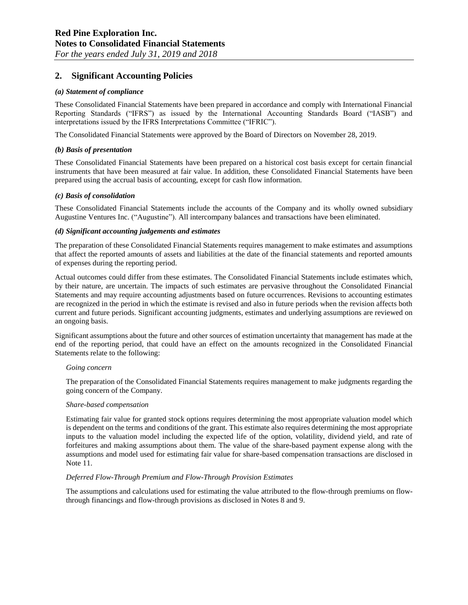## **2. Significant Accounting Policies**

### *(a) Statement of compliance*

These Consolidated Financial Statements have been prepared in accordance and comply with International Financial Reporting Standards ("IFRS") as issued by the International Accounting Standards Board ("IASB") and interpretations issued by the IFRS Interpretations Committee ("IFRIC").

The Consolidated Financial Statements were approved by the Board of Directors on November 28, 2019.

### *(b) Basis of presentation*

These Consolidated Financial Statements have been prepared on a historical cost basis except for certain financial instruments that have been measured at fair value. In addition, these Consolidated Financial Statements have been prepared using the accrual basis of accounting, except for cash flow information.

### *(c) Basis of consolidation*

These Consolidated Financial Statements include the accounts of the Company and its wholly owned subsidiary Augustine Ventures Inc. ("Augustine"). All intercompany balances and transactions have been eliminated.

### *(d) Significant accounting judgements and estimates*

The preparation of these Consolidated Financial Statements requires management to make estimates and assumptions that affect the reported amounts of assets and liabilities at the date of the financial statements and reported amounts of expenses during the reporting period.

Actual outcomes could differ from these estimates. The Consolidated Financial Statements include estimates which, by their nature, are uncertain. The impacts of such estimates are pervasive throughout the Consolidated Financial Statements and may require accounting adjustments based on future occurrences. Revisions to accounting estimates are recognized in the period in which the estimate is revised and also in future periods when the revision affects both current and future periods. Significant accounting judgments, estimates and underlying assumptions are reviewed on an ongoing basis.

Significant assumptions about the future and other sources of estimation uncertainty that management has made at the end of the reporting period, that could have an effect on the amounts recognized in the Consolidated Financial Statements relate to the following:

### *Going concern*

The preparation of the Consolidated Financial Statements requires management to make judgments regarding the going concern of the Company.

### *Share-based compensation*

Estimating fair value for granted stock options requires determining the most appropriate valuation model which is dependent on the terms and conditions of the grant. This estimate also requires determining the most appropriate inputs to the valuation model including the expected life of the option, volatility, dividend yield, and rate of forfeitures and making assumptions about them. The value of the share-based payment expense along with the assumptions and model used for estimating fair value for share-based compensation transactions are disclosed in Note 11.

### *Deferred Flow-Through Premium and Flow-Through Provision Estimates*

The assumptions and calculations used for estimating the value attributed to the flow-through premiums on flowthrough financings and flow-through provisions as disclosed in Notes 8 and 9.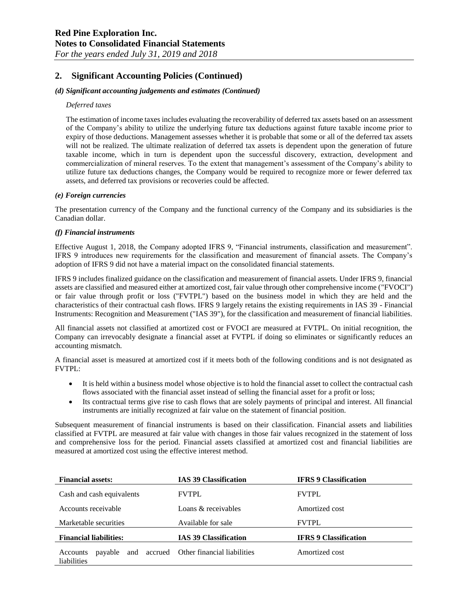### *(d) Significant accounting judgements and estimates (Continued)*

### *Deferred taxes*

The estimation of income taxes includes evaluating the recoverability of deferred tax assets based on an assessment of the Company's ability to utilize the underlying future tax deductions against future taxable income prior to expiry of those deductions. Management assesses whether it is probable that some or all of the deferred tax assets will not be realized. The ultimate realization of deferred tax assets is dependent upon the generation of future taxable income, which in turn is dependent upon the successful discovery, extraction, development and commercialization of mineral reserves. To the extent that management's assessment of the Company's ability to utilize future tax deductions changes, the Company would be required to recognize more or fewer deferred tax assets, and deferred tax provisions or recoveries could be affected.

### *(e) Foreign currencies*

The presentation currency of the Company and the functional currency of the Company and its subsidiaries is the Canadian dollar.

### *(f) Financial instruments*

Effective August 1, 2018, the Company adopted IFRS 9, "Financial instruments, classification and measurement". IFRS 9 introduces new requirements for the classification and measurement of financial assets. The Company's adoption of IFRS 9 did not have a material impact on the consolidated financial statements.

IFRS 9 includes finalized guidance on the classification and measurement of financial assets. Under IFRS 9, financial assets are classified and measured either at amortized cost, fair value through other comprehensive income ("FVOCI") or fair value through profit or loss ("FVTPL") based on the business model in which they are held and the characteristics of their contractual cash flows. IFRS 9 largely retains the existing requirements in IAS 39 - Financial Instruments: Recognition and Measurement ("IAS 39"), for the classification and measurement of financial liabilities.

All financial assets not classified at amortized cost or FVOCI are measured at FVTPL. On initial recognition, the Company can irrevocably designate a financial asset at FVTPL if doing so eliminates or significantly reduces an accounting mismatch.

A financial asset is measured at amortized cost if it meets both of the following conditions and is not designated as FVTPL:

- It is held within a business model whose objective is to hold the financial asset to collect the contractual cash flows associated with the financial asset instead of selling the financial asset for a profit or loss;
- Its contractual terms give rise to cash flows that are solely payments of principal and interest. All financial instruments are initially recognized at fair value on the statement of financial position.

Subsequent measurement of financial instruments is based on their classification. Financial assets and liabilities classified at FVTPL are measured at fair value with changes in those fair values recognized in the statement of loss and comprehensive loss for the period. Financial assets classified at amortized cost and financial liabilities are measured at amortized cost using the effective interest method.

| <b>Financial assets:</b>           | <b>IAS 39 Classification</b>            | <b>IFRS 9 Classification</b> |
|------------------------------------|-----------------------------------------|------------------------------|
| Cash and cash equivalents          | <b>FVTPL</b>                            | <b>FVTPL</b>                 |
| Accounts receivable                | Loans & receivables                     | Amortized cost               |
| Marketable securities              | Available for sale                      | <b>FVTPL</b>                 |
| <b>Financial liabilities:</b>      | <b>IAS 39 Classification</b>            | <b>IFRS 9 Classification</b> |
| payable<br>Accounts<br>liabilities | and accrued Other financial liabilities | Amortized cost               |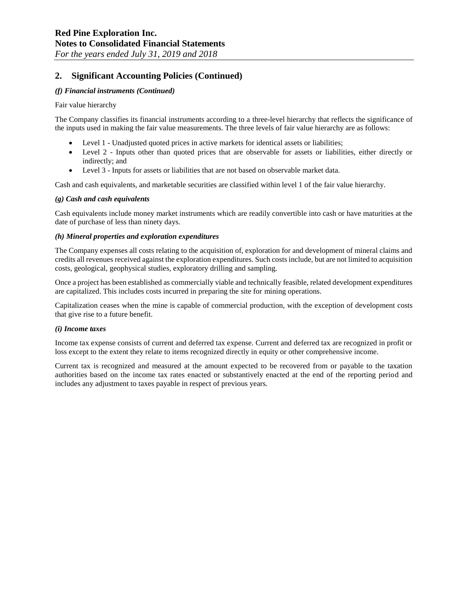### *(f) Financial instruments (Continued)*

### Fair value hierarchy

The Company classifies its financial instruments according to a three-level hierarchy that reflects the significance of the inputs used in making the fair value measurements. The three levels of fair value hierarchy are as follows:

- Level 1 Unadjusted quoted prices in active markets for identical assets or liabilities;
- Level 2 Inputs other than quoted prices that are observable for assets or liabilities, either directly or indirectly; and
- Level 3 Inputs for assets or liabilities that are not based on observable market data.

Cash and cash equivalents, and marketable securities are classified within level 1 of the fair value hierarchy.

### *(g) Cash and cash equivalents*

Cash equivalents include money market instruments which are readily convertible into cash or have maturities at the date of purchase of less than ninety days.

### *(h) Mineral properties and exploration expenditures*

The Company expenses all costs relating to the acquisition of, exploration for and development of mineral claims and credits all revenues received against the exploration expenditures. Such costs include, but are not limited to acquisition costs, geological, geophysical studies, exploratory drilling and sampling.

Once a project has been established as commercially viable and technically feasible, related development expenditures are capitalized. This includes costs incurred in preparing the site for mining operations.

Capitalization ceases when the mine is capable of commercial production, with the exception of development costs that give rise to a future benefit.

### *(i) Income taxes*

Income tax expense consists of current and deferred tax expense. Current and deferred tax are recognized in profit or loss except to the extent they relate to items recognized directly in equity or other comprehensive income.

Current tax is recognized and measured at the amount expected to be recovered from or payable to the taxation authorities based on the income tax rates enacted or substantively enacted at the end of the reporting period and includes any adjustment to taxes payable in respect of previous years.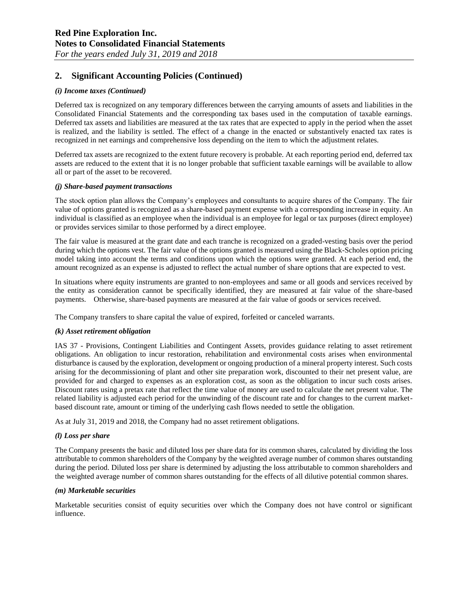### *(i) Income taxes (Continued)*

Deferred tax is recognized on any temporary differences between the carrying amounts of assets and liabilities in the Consolidated Financial Statements and the corresponding tax bases used in the computation of taxable earnings. Deferred tax assets and liabilities are measured at the tax rates that are expected to apply in the period when the asset is realized, and the liability is settled. The effect of a change in the enacted or substantively enacted tax rates is recognized in net earnings and comprehensive loss depending on the item to which the adjustment relates.

Deferred tax assets are recognized to the extent future recovery is probable. At each reporting period end, deferred tax assets are reduced to the extent that it is no longer probable that sufficient taxable earnings will be available to allow all or part of the asset to be recovered.

### *(j) Share-based payment transactions*

The stock option plan allows the Company's employees and consultants to acquire shares of the Company. The fair value of options granted is recognized as a share-based payment expense with a corresponding increase in equity. An individual is classified as an employee when the individual is an employee for legal or tax purposes (direct employee) or provides services similar to those performed by a direct employee.

The fair value is measured at the grant date and each tranche is recognized on a graded-vesting basis over the period during which the options vest. The fair value of the options granted is measured using the Black-Scholes option pricing model taking into account the terms and conditions upon which the options were granted. At each period end, the amount recognized as an expense is adjusted to reflect the actual number of share options that are expected to vest.

In situations where equity instruments are granted to non-employees and same or all goods and services received by the entity as consideration cannot be specifically identified, they are measured at fair value of the share-based payments. Otherwise, share-based payments are measured at the fair value of goods or services received.

The Company transfers to share capital the value of expired, forfeited or canceled warrants.

### *(k) Asset retirement obligation*

IAS 37 - Provisions, Contingent Liabilities and Contingent Assets, provides guidance relating to asset retirement obligations. An obligation to incur restoration, rehabilitation and environmental costs arises when environmental disturbance is caused by the exploration, development or ongoing production of a mineral property interest. Such costs arising for the decommissioning of plant and other site preparation work, discounted to their net present value, are provided for and charged to expenses as an exploration cost, as soon as the obligation to incur such costs arises. Discount rates using a pretax rate that reflect the time value of money are used to calculate the net present value. The related liability is adjusted each period for the unwinding of the discount rate and for changes to the current marketbased discount rate, amount or timing of the underlying cash flows needed to settle the obligation.

As at July 31, 2019 and 2018, the Company had no asset retirement obligations.

### *(l) Loss per share*

The Company presents the basic and diluted loss per share data for its common shares, calculated by dividing the loss attributable to common shareholders of the Company by the weighted average number of common shares outstanding during the period. Diluted loss per share is determined by adjusting the loss attributable to common shareholders and the weighted average number of common shares outstanding for the effects of all dilutive potential common shares.

### *(m) Marketable securities*

Marketable securities consist of equity securities over which the Company does not have control or significant influence.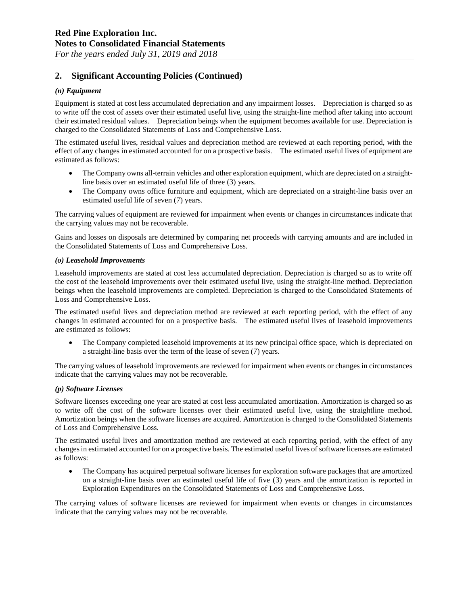### *(n) Equipment*

Equipment is stated at cost less accumulated depreciation and any impairment losses. Depreciation is charged so as to write off the cost of assets over their estimated useful live, using the straight-line method after taking into account their estimated residual values. Depreciation beings when the equipment becomes available for use. Depreciation is charged to the Consolidated Statements of Loss and Comprehensive Loss.

The estimated useful lives, residual values and depreciation method are reviewed at each reporting period, with the effect of any changes in estimated accounted for on a prospective basis. The estimated useful lives of equipment are estimated as follows:

- The Company owns all-terrain vehicles and other exploration equipment, which are depreciated on a straightline basis over an estimated useful life of three (3) years.
- The Company owns office furniture and equipment, which are depreciated on a straight-line basis over an estimated useful life of seven (7) years.

The carrying values of equipment are reviewed for impairment when events or changes in circumstances indicate that the carrying values may not be recoverable.

Gains and losses on disposals are determined by comparing net proceeds with carrying amounts and are included in the Consolidated Statements of Loss and Comprehensive Loss.

### *(o) Leasehold Improvements*

Leasehold improvements are stated at cost less accumulated depreciation. Depreciation is charged so as to write off the cost of the leasehold improvements over their estimated useful live, using the straight-line method. Depreciation beings when the leasehold improvements are completed. Depreciation is charged to the Consolidated Statements of Loss and Comprehensive Loss.

The estimated useful lives and depreciation method are reviewed at each reporting period, with the effect of any changes in estimated accounted for on a prospective basis. The estimated useful lives of leasehold improvements are estimated as follows:

• The Company completed leasehold improvements at its new principal office space, which is depreciated on a straight-line basis over the term of the lease of seven (7) years.

The carrying values of leasehold improvements are reviewed for impairment when events or changes in circumstances indicate that the carrying values may not be recoverable.

### *(p) Software Licenses*

Software licenses exceeding one year are stated at cost less accumulated amortization. Amortization is charged so as to write off the cost of the software licenses over their estimated useful live, using the straightline method. Amortization beings when the software licenses are acquired. Amortization is charged to the Consolidated Statements of Loss and Comprehensive Loss.

The estimated useful lives and amortization method are reviewed at each reporting period, with the effect of any changes in estimated accounted for on a prospective basis. The estimated useful lives of software licenses are estimated as follows:

• The Company has acquired perpetual software licenses for exploration software packages that are amortized on a straight-line basis over an estimated useful life of five (3) years and the amortization is reported in Exploration Expenditures on the Consolidated Statements of Loss and Comprehensive Loss.

The carrying values of software licenses are reviewed for impairment when events or changes in circumstances indicate that the carrying values may not be recoverable.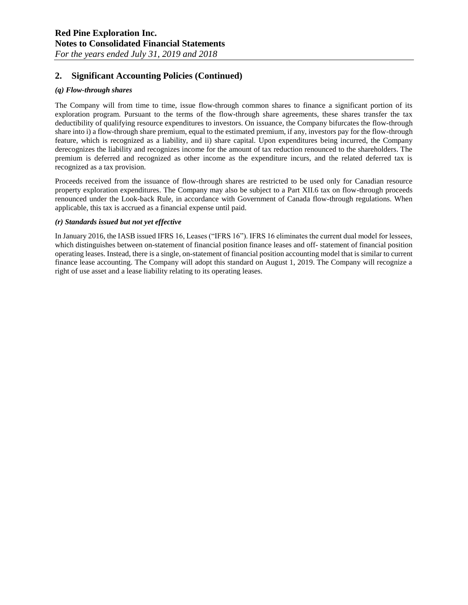### *(q) Flow-through shares*

The Company will from time to time, issue flow-through common shares to finance a significant portion of its exploration program. Pursuant to the terms of the flow-through share agreements, these shares transfer the tax deductibility of qualifying resource expenditures to investors. On issuance, the Company bifurcates the flow-through share into i) a flow-through share premium, equal to the estimated premium, if any, investors pay for the flow-through feature, which is recognized as a liability, and ii) share capital. Upon expenditures being incurred, the Company derecognizes the liability and recognizes income for the amount of tax reduction renounced to the shareholders. The premium is deferred and recognized as other income as the expenditure incurs, and the related deferred tax is recognized as a tax provision.

Proceeds received from the issuance of flow-through shares are restricted to be used only for Canadian resource property exploration expenditures. The Company may also be subject to a Part XII.6 tax on flow-through proceeds renounced under the Look-back Rule, in accordance with Government of Canada flow-through regulations. When applicable, this tax is accrued as a financial expense until paid.

### *(r) Standards issued but not yet effective*

In January 2016, the IASB issued IFRS 16, Leases ("IFRS 16"). IFRS 16 eliminates the current dual model for lessees, which distinguishes between on-statement of financial position finance leases and off- statement of financial position operating leases. Instead, there is a single, on-statement of financial position accounting model that is similar to current finance lease accounting. The Company will adopt this standard on August 1, 2019. The Company will recognize a right of use asset and a lease liability relating to its operating leases.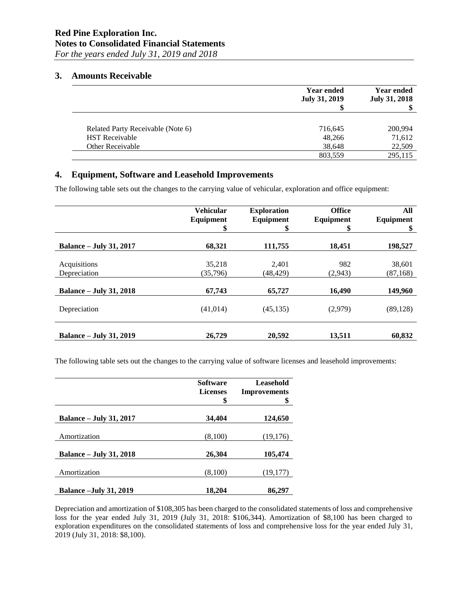## **Red Pine Exploration Inc. Notes to Consolidated Financial Statements**

*For the years ended July 31, 2019 and 2018*

## **3. Amounts Receivable**

|                                   | <b>Year ended</b><br><b>July 31, 2019</b> | Year ended<br><b>July 31, 2018</b> |
|-----------------------------------|-------------------------------------------|------------------------------------|
| Related Party Receivable (Note 6) | 716,645                                   | 200,994                            |
| <b>HST</b> Receivable             | 48,266                                    | 71,612                             |
| Other Receivable                  | 38,648                                    | 22,509                             |
|                                   | 803,559                                   | 295,115                            |

### **4. Equipment, Software and Leasehold Improvements**

The following table sets out the changes to the carrying value of vehicular, exploration and office equipment:

|                                | <b>Vehicular</b><br>Equipment<br>\$ | <b>Exploration</b><br><b>Equipment</b><br>\$ | <b>Office</b><br>Equipment<br>\$ | All<br><b>Equipment</b><br>\$ |
|--------------------------------|-------------------------------------|----------------------------------------------|----------------------------------|-------------------------------|
| <b>Balance – July 31, 2017</b> | 68,321                              | 111,755                                      | 18.451                           | 198,527                       |
| Acquisitions<br>Depreciation   | 35.218<br>(35,796)                  | 2.401<br>(48, 429)                           | 982<br>(2,943)                   | 38.601<br>(87, 168)           |
| <b>Balance – July 31, 2018</b> | 67,743                              | 65,727                                       | 16,490                           | 149,960                       |
| Depreciation                   | (41, 014)                           | (45, 135)                                    | (2,979)                          | (89, 128)                     |
| <b>Balance – July 31, 2019</b> | 26,729                              | 20,592                                       | 13.511                           | 60,832                        |

The following table sets out the changes to the carrying value of software licenses and leasehold improvements:

|                                | <b>Software</b><br><b>Licenses</b><br>\$ | <b>Leasehold</b><br><b>Improvements</b> |
|--------------------------------|------------------------------------------|-----------------------------------------|
|                                |                                          | \$                                      |
| <b>Balance – July 31, 2017</b> | 34,404                                   | 124,650                                 |
| Amortization                   | (8,100)                                  | (19,176)                                |
| <b>Balance - July 31, 2018</b> | 26,304                                   | 105,474                                 |
| Amortization                   | (8,100)                                  | (19, 177)                               |
| <b>Balance – July 31, 2019</b> | 18,204                                   | 86,297                                  |

Depreciation and amortization of \$108,305 has been charged to the consolidated statements of loss and comprehensive loss for the year ended July 31, 2019 (July 31, 2018: \$106,344). Amortization of \$8,100 has been charged to exploration expenditures on the consolidated statements of loss and comprehensive loss for the year ended July 31, 2019 (July 31, 2018: \$8,100).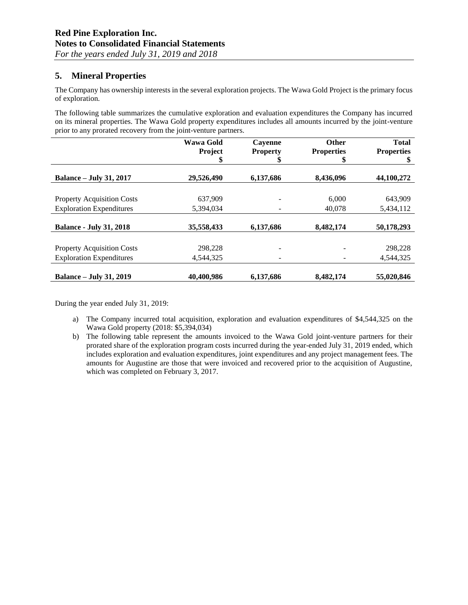## **5. Mineral Properties**

The Company has ownership interests in the several exploration projects. The Wawa Gold Project is the primary focus of exploration.

The following table summarizes the cumulative exploration and evaluation expenditures the Company has incurred on its mineral properties. The Wawa Gold property expenditures includes all amounts incurred by the joint-venture prior to any prorated recovery from the joint-venture partners.

|                                   | Wawa Gold<br><b>Project</b><br>\$ | Cavenne<br><b>Property</b><br>Φ | <b>Other</b><br><b>Properties</b><br>ъ | <b>Total</b><br><b>Properties</b><br>5 |
|-----------------------------------|-----------------------------------|---------------------------------|----------------------------------------|----------------------------------------|
| <b>Balance – July 31, 2017</b>    | 29,526,490                        | 6,137,686                       | 8,436,096                              | 44,100,272                             |
|                                   |                                   |                                 |                                        |                                        |
| <b>Property Acquisition Costs</b> | 637.909                           |                                 | 6.000                                  | 643.909                                |
| <b>Exploration Expenditures</b>   | 5,394,034                         |                                 | 40,078                                 | 5,434,112                              |
|                                   |                                   |                                 |                                        |                                        |
| <b>Balance - July 31, 2018</b>    | 35,558,433                        | 6.137.686                       | 8,482,174                              | 50,178,293                             |
|                                   |                                   |                                 |                                        |                                        |
| <b>Property Acquisition Costs</b> | 298,228                           |                                 |                                        | 298,228                                |
| <b>Exploration Expenditures</b>   | 4,544,325                         |                                 |                                        | 4,544,325                              |
|                                   |                                   |                                 |                                        |                                        |
| <b>Balance – July 31, 2019</b>    | 40,400,986                        | 6,137,686                       | 8,482,174                              | 55,020,846                             |

During the year ended July 31, 2019:

- a) The Company incurred total acquisition, exploration and evaluation expenditures of \$4,544,325 on the Wawa Gold property (2018: \$5,394,034)
- b) The following table represent the amounts invoiced to the Wawa Gold joint-venture partners for their prorated share of the exploration program costs incurred during the year-ended July 31, 2019 ended, which includes exploration and evaluation expenditures, joint expenditures and any project management fees. The amounts for Augustine are those that were invoiced and recovered prior to the acquisition of Augustine, which was completed on February 3, 2017.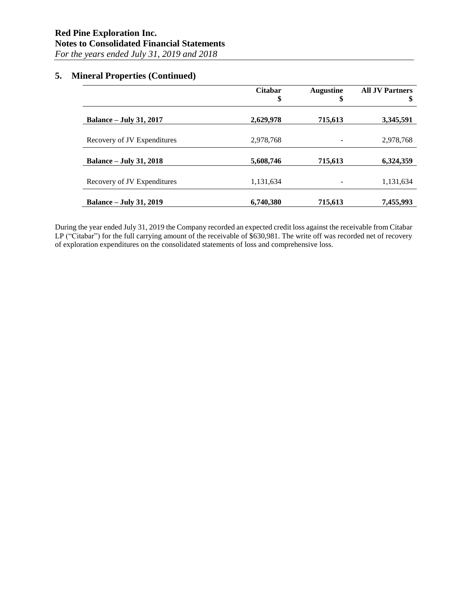## **5. Mineral Properties (Continued)**

|                                | <b>Citabar</b><br>\$ | <b>Augustine</b><br>\$ | <b>All JV Partners</b><br>\$ |
|--------------------------------|----------------------|------------------------|------------------------------|
| <b>Balance – July 31, 2017</b> | 2,629,978            | 715,613                | 3,345,591                    |
| Recovery of JV Expenditures    | 2,978,768            |                        | 2,978,768                    |
| <b>Balance – July 31, 2018</b> | 5,608,746            | 715.613                | 6,324,359                    |
| Recovery of JV Expenditures    | 1,131,634            |                        | 1,131,634                    |
| <b>Balance – July 31, 2019</b> | 6,740,380            | 715,613                | 7,455,993                    |

During the year ended July 31, 2019 the Company recorded an expected credit loss against the receivable from Citabar LP ("Citabar") for the full carrying amount of the receivable of \$630,981. The write off was recorded net of recovery of exploration expenditures on the consolidated statements of loss and comprehensive loss.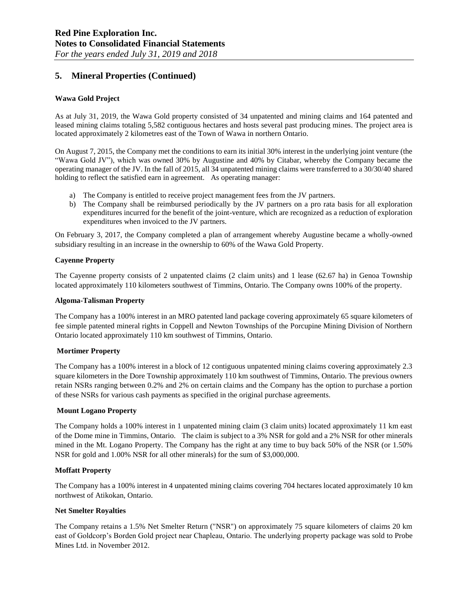## **5. Mineral Properties (Continued)**

### **Wawa Gold Project**

As at July 31, 2019, the Wawa Gold property consisted of 34 unpatented and mining claims and 164 patented and leased mining claims totaling 5,582 contiguous hectares and hosts several past producing mines. The project area is located approximately 2 kilometres east of the Town of Wawa in northern Ontario.

On August 7, 2015, the Company met the conditions to earn its initial 30% interest in the underlying joint venture (the "Wawa Gold JV"), which was owned 30% by Augustine and 40% by Citabar, whereby the Company became the operating manager of the JV. In the fall of 2015, all 34 unpatented mining claims were transferred to a 30/30/40 shared holding to reflect the satisfied earn in agreement. As operating manager:

- a) The Company is entitled to receive project management fees from the JV partners.
- b) The Company shall be reimbursed periodically by the JV partners on a pro rata basis for all exploration expenditures incurred for the benefit of the joint-venture, which are recognized as a reduction of exploration expenditures when invoiced to the JV partners.

On February 3, 2017, the Company completed a plan of arrangement whereby Augustine became a wholly-owned subsidiary resulting in an increase in the ownership to 60% of the Wawa Gold Property.

### **Cayenne Property**

The Cayenne property consists of 2 unpatented claims (2 claim units) and 1 lease (62.67 ha) in Genoa Township located approximately 110 kilometers southwest of Timmins, Ontario. The Company owns 100% of the property.

### **Algoma-Talisman Property**

The Company has a 100% interest in an MRO patented land package covering approximately 65 square kilometers of fee simple patented mineral rights in Coppell and Newton Townships of the Porcupine Mining Division of Northern Ontario located approximately 110 km southwest of Timmins, Ontario.

### **Mortimer Property**

The Company has a 100% interest in a block of 12 contiguous unpatented mining claims covering approximately 2.3 square kilometers in the Dore Township approximately 110 km southwest of Timmins, Ontario. The previous owners retain NSRs ranging between 0.2% and 2% on certain claims and the Company has the option to purchase a portion of these NSRs for various cash payments as specified in the original purchase agreements.

### **Mount Logano Property**

The Company holds a 100% interest in 1 unpatented mining claim (3 claim units) located approximately 11 km east of the Dome mine in Timmins, Ontario. The claim is subject to a 3% NSR for gold and a 2% NSR for other minerals mined in the Mt. Logano Property. The Company has the right at any time to buy back 50% of the NSR (or 1.50% NSR for gold and 1.00% NSR for all other minerals) for the sum of \$3,000,000.

### **Moffatt Property**

The Company has a 100% interest in 4 unpatented mining claims covering 704 hectares located approximately 10 km northwest of Atikokan, Ontario.

### **Net Smelter Royalties**

The Company retains a 1.5% Net Smelter Return ("NSR") on approximately 75 square kilometers of claims 20 km east of Goldcorp's Borden Gold project near Chapleau, Ontario. The underlying property package was sold to Probe Mines Ltd. in November 2012.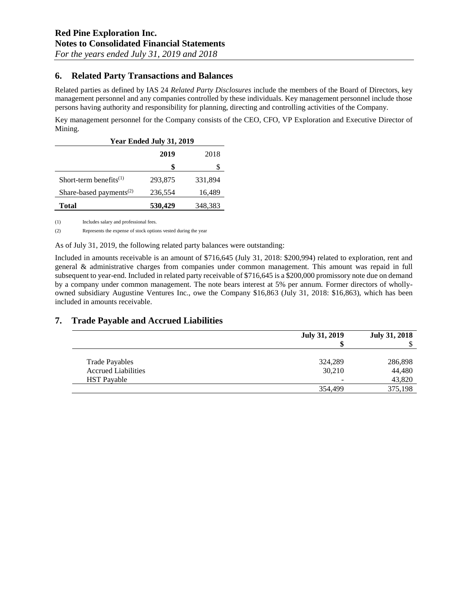## **6. Related Party Transactions and Balances**

Related parties as defined by IAS 24 *Related Party Disclosures* include the members of the Board of Directors, key management personnel and any companies controlled by these individuals. Key management personnel include those persons having authority and responsibility for planning, directing and controlling activities of the Company.

Key management personnel for the Company consists of the CEO, CFO, VP Exploration and Executive Director of Mining.

| Year Ended July 31, 2019            |         |         |
|-------------------------------------|---------|---------|
|                                     | 2019    | 2018    |
|                                     | S       | S       |
| Short-term benefits $(1)$           | 293,875 | 331,894 |
| Share-based payments <sup>(2)</sup> | 236,554 | 16,489  |
| <b>Total</b>                        | 530,429 | 348,383 |

(1) Includes salary and professional fees.

(2) Represents the expense of stock options vested during the year

As of July 31, 2019, the following related party balances were outstanding:

Included in amounts receivable is an amount of \$716,645 (July 31, 2018: \$200,994) related to exploration, rent and general & administrative charges from companies under common management. This amount was repaid in full subsequent to year-end. Included in related party receivable of \$716,645 is a \$200,000 promissory note due on demand by a company under common management. The note bears interest at 5% per annum. Former directors of whollyowned subsidiary Augustine Ventures Inc., owe the Company \$16,863 (July 31, 2018: \$16,863), which has been included in amounts receivable.

### **7. Trade Payable and Accrued Liabilities**

|                            | <b>July 31, 2019</b> | <b>July 31, 2018</b> |
|----------------------------|----------------------|----------------------|
|                            |                      |                      |
| <b>Trade Payables</b>      | 324,289              | 286,898              |
| <b>Accrued Liabilities</b> | 30,210               | 44,480               |
| <b>HST Payable</b>         |                      | 43,820               |
|                            | 354,499              | 375,198              |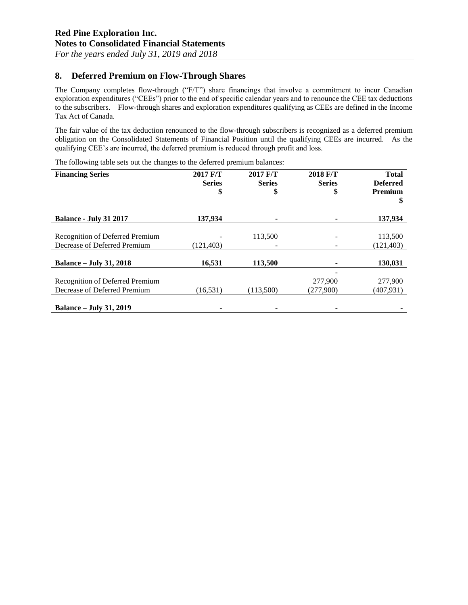## **8. Deferred Premium on Flow-Through Shares**

The Company completes flow-through ("F/T") share financings that involve a commitment to incur Canadian exploration expenditures ("CEEs") prior to the end of specific calendar years and to renounce the CEE tax deductions to the subscribers. Flow-through shares and exploration expenditures qualifying as CEEs are defined in the Income Tax Act of Canada.

The fair value of the tax deduction renounced to the flow-through subscribers is recognized as a deferred premium obligation on the Consolidated Statements of Financial Position until the qualifying CEEs are incurred. As the qualifying CEE's are incurred, the deferred premium is reduced through profit and loss.

| <b>Financing Series</b>                                         | 2017 F/T<br><b>Series</b><br>Φ | 2017 F/T<br><b>Series</b><br>J | 2018 F/T<br><b>Series</b><br>\$ | <b>Total</b><br><b>Deferred</b><br>Premium<br>\$ |
|-----------------------------------------------------------------|--------------------------------|--------------------------------|---------------------------------|--------------------------------------------------|
| <b>Balance - July 31 2017</b>                                   | 137,934                        |                                |                                 | 137,934                                          |
| Recognition of Deferred Premium<br>Decrease of Deferred Premium | (121, 403)                     | 113,500                        |                                 | 113,500<br>(121, 403)                            |
| <b>Balance – July 31, 2018</b>                                  | 16,531                         | 113,500                        |                                 | 130,031                                          |
| Recognition of Deferred Premium<br>Decrease of Deferred Premium | (16, 531)                      | (113,500)                      | 277,900<br>(277,900)            | 277,900<br>(407, 931)                            |
| <b>Balance – July 31, 2019</b>                                  |                                |                                |                                 |                                                  |

The following table sets out the changes to the deferred premium balances: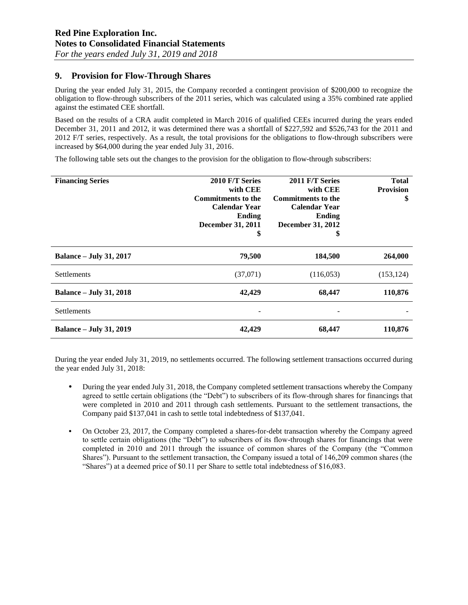## **9. Provision for Flow-Through Shares**

During the year ended July 31, 2015, the Company recorded a contingent provision of \$200,000 to recognize the obligation to flow-through subscribers of the 2011 series, which was calculated using a 35% combined rate applied against the estimated CEE shortfall.

Based on the results of a CRA audit completed in March 2016 of qualified CEEs incurred during the years ended December 31, 2011 and 2012, it was determined there was a shortfall of \$227,592 and \$526,743 for the 2011 and 2012 F/T series, respectively. As a result, the total provisions for the obligations to flow-through subscribers were increased by \$64,000 during the year ended July 31, 2016.

The following table sets out the changes to the provision for the obligation to flow-through subscribers:

| <b>Financing Series</b>        | 2010 F/T Series<br>with CEE<br><b>Commitments to the</b><br><b>Calendar Year</b><br>Ending<br>December 31, 2011<br>\$ | 2011 F/T Series<br>with CEE<br><b>Commitments to the</b><br><b>Calendar Year</b><br>Ending<br><b>December 31, 2012</b><br>\$ | <b>Total</b><br><b>Provision</b><br>\$ |
|--------------------------------|-----------------------------------------------------------------------------------------------------------------------|------------------------------------------------------------------------------------------------------------------------------|----------------------------------------|
| <b>Balance – July 31, 2017</b> | 79,500                                                                                                                | 184,500                                                                                                                      | 264,000                                |
| <b>Settlements</b>             | (37,071)                                                                                                              | (116,053)                                                                                                                    | (153, 124)                             |
| <b>Balance – July 31, 2018</b> | 42,429                                                                                                                | 68,447                                                                                                                       | 110,876                                |
| <b>Settlements</b>             |                                                                                                                       |                                                                                                                              |                                        |
| <b>Balance – July 31, 2019</b> | 42,429                                                                                                                | 68,447                                                                                                                       | 110,876                                |

During the year ended July 31, 2019, no settlements occurred. The following settlement transactions occurred during the year ended July 31, 2018:

- **•** During the year ended July 31, 2018, the Company completed settlement transactions whereby the Company agreed to settle certain obligations (the "Debt") to subscribers of its flow-through shares for financings that were completed in 2010 and 2011 through cash settlements. Pursuant to the settlement transactions, the Company paid \$137,041 in cash to settle total indebtedness of \$137,041.
- **•** On October 23, 2017, the Company completed a shares-for-debt transaction whereby the Company agreed to settle certain obligations (the "Debt") to subscribers of its flow-through shares for financings that were completed in 2010 and 2011 through the issuance of common shares of the Company (the "Common Shares"). Pursuant to the settlement transaction, the Company issued a total of 146,209 common shares (the "Shares") at a deemed price of \$0.11 per Share to settle total indebtedness of \$16,083.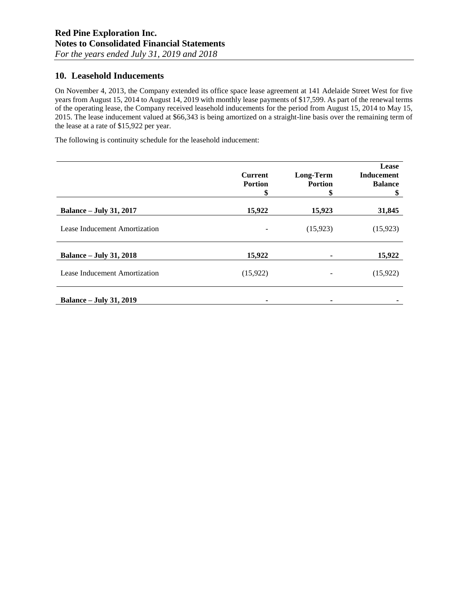## **10. Leasehold Inducements**

On November 4, 2013, the Company extended its office space lease agreement at 141 Adelaide Street West for five years from August 15, 2014 to August 14, 2019 with monthly lease payments of \$17,599. As part of the renewal terms of the operating lease, the Company received leasehold inducements for the period from August 15, 2014 to May 15, 2015. The lease inducement valued at \$66,343 is being amortized on a straight-line basis over the remaining term of the lease at a rate of \$15,922 per year.

The following is continuity schedule for the leasehold inducement:

|                                | <b>Current</b><br><b>Portion</b><br>\$ | Long-Term<br><b>Portion</b><br>\$ | Lease<br><b>Inducement</b><br><b>Balance</b><br>\$ |
|--------------------------------|----------------------------------------|-----------------------------------|----------------------------------------------------|
| <b>Balance – July 31, 2017</b> | 15,922                                 | 15,923                            | 31,845                                             |
| Lease Inducement Amortization  |                                        | (15,923)                          | (15, 923)                                          |
| <b>Balance – July 31, 2018</b> | 15,922                                 |                                   | 15,922                                             |
| Lease Inducement Amortization  | (15,922)                               |                                   | (15, 922)                                          |
| <b>Balance – July 31, 2019</b> |                                        |                                   | ۰                                                  |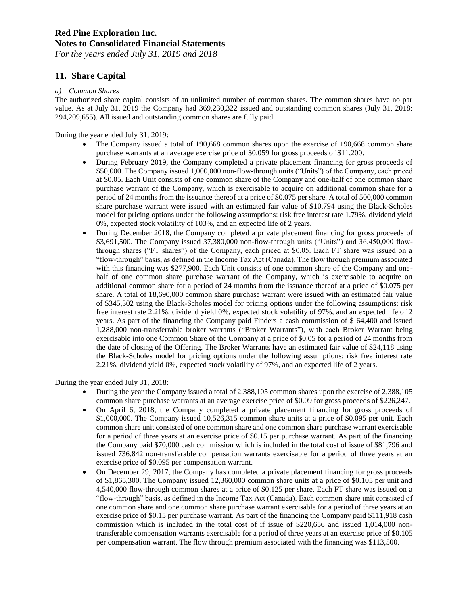### **11. Share Capital**

### *a) Common Shares*

The authorized share capital consists of an unlimited number of common shares. The common shares have no par value. As at July 31, 2019 the Company had 369,230,322 issued and outstanding common shares (July 31, 2018: 294,209,655). All issued and outstanding common shares are fully paid.

During the year ended July 31, 2019:

- The Company issued a total of 190,668 common shares upon the exercise of 190,668 common share purchase warrants at an average exercise price of \$0.059 for gross proceeds of \$11,200.
- During February 2019, the Company completed a private placement financing for gross proceeds of \$50,000. The Company issued 1,000,000 non-flow-through units ("Units") of the Company, each priced at \$0.05. Each Unit consists of one common share of the Company and one-half of one common share purchase warrant of the Company, which is exercisable to acquire on additional common share for a period of 24 months from the issuance thereof at a price of \$0.075 per share. A total of 500,000 common share purchase warrant were issued with an estimated fair value of \$10,794 using the Black-Scholes model for pricing options under the following assumptions: risk free interest rate 1.79%, dividend yield 0%, expected stock volatility of 103%, and an expected life of 2 years.
- During December 2018, the Company completed a private placement financing for gross proceeds of \$3,691,500. The Company issued 37,380,000 non-flow-through units ("Units") and 36,450,000 flowthrough shares ("FT shares") of the Company, each priced at \$0.05. Each FT share was issued on a "flow-through" basis, as defined in the Income Tax Act (Canada). The flow through premium associated with this financing was \$277,900. Each Unit consists of one common share of the Company and onehalf of one common share purchase warrant of the Company, which is exercisable to acquire on additional common share for a period of 24 months from the issuance thereof at a price of \$0.075 per share. A total of 18,690,000 common share purchase warrant were issued with an estimated fair value of \$345,302 using the Black-Scholes model for pricing options under the following assumptions: risk free interest rate 2.21%, dividend yield 0%, expected stock volatility of 97%, and an expected life of 2 years. As part of the financing the Company paid Finders a cash commission of \$ 64,400 and issued 1,288,000 non-transferrable broker warrants ("Broker Warrants"), with each Broker Warrant being exercisable into one Common Share of the Company at a price of \$0.05 for a period of 24 months from the date of closing of the Offering. The Broker Warrants have an estimated fair value of \$24,118 using the Black-Scholes model for pricing options under the following assumptions: risk free interest rate 2.21%, dividend yield 0%, expected stock volatility of 97%, and an expected life of 2 years.

During the year ended July 31, 2018:

- During the year the Company issued a total of 2,388,105 common shares upon the exercise of 2,388,105 common share purchase warrants at an average exercise price of \$0.09 for gross proceeds of \$226,247.
- On April 6, 2018, the Company completed a private placement financing for gross proceeds of \$1,000,000. The Company issued 10,526,315 common share units at a price of \$0.095 per unit. Each common share unit consisted of one common share and one common share purchase warrant exercisable for a period of three years at an exercise price of \$0.15 per purchase warrant. As part of the financing the Company paid \$70,000 cash commission which is included in the total cost of issue of \$81,796 and issued 736,842 non-transferable compensation warrants exercisable for a period of three years at an exercise price of \$0.095 per compensation warrant.
- On December 29, 2017, the Company has completed a private placement financing for gross proceeds of \$1,865,300. The Company issued 12,360,000 common share units at a price of \$0.105 per unit and 4,540,000 flow-through common shares at a price of \$0.125 per share. Each FT share was issued on a "flow-through" basis, as defined in the Income Tax Act (Canada). Each common share unit consisted of one common share and one common share purchase warrant exercisable for a period of three years at an exercise price of \$0.15 per purchase warrant. As part of the financing the Company paid \$111,918 cash commission which is included in the total cost of if issue of \$220,656 and issued 1,014,000 nontransferable compensation warrants exercisable for a period of three years at an exercise price of \$0.105 per compensation warrant. The flow through premium associated with the financing was \$113,500.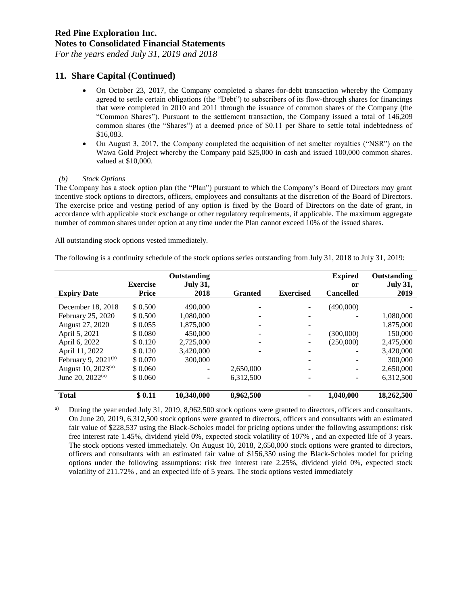- On October 23, 2017, the Company completed a shares-for-debt transaction whereby the Company agreed to settle certain obligations (the "Debt") to subscribers of its flow-through shares for financings that were completed in 2010 and 2011 through the issuance of common shares of the Company (the "Common Shares"). Pursuant to the settlement transaction, the Company issued a total of 146,209 common shares (the "Shares") at a deemed price of \$0.11 per Share to settle total indebtedness of \$16,083.
- On August 3, 2017, the Company completed the acquisition of net smelter royalties ("NSR") on the Wawa Gold Project whereby the Company paid \$25,000 in cash and issued 100,000 common shares. valued at \$10,000.

### *(b) Stock Options*

The Company has a stock option plan (the "Plan") pursuant to which the Company's Board of Directors may grant incentive stock options to directors, officers, employees and consultants at the discretion of the Board of Directors. The exercise price and vesting period of any option is fixed by the Board of Directors on the date of grant, in accordance with applicable stock exchange or other regulatory requirements, if applicable. The maximum aggregate number of common shares under option at any time under the Plan cannot exceed 10% of the issued shares.

All outstanding stock options vested immediately.

The following is a continuity schedule of the stock options series outstanding from July 31, 2018 to July 31, 2019:

|                                | <b>Exercise</b> | Outstanding<br><b>July 31,</b> |                |                  | <b>Expired</b><br><sub>or</sub> | Outstanding<br><b>July 31,</b> |
|--------------------------------|-----------------|--------------------------------|----------------|------------------|---------------------------------|--------------------------------|
| <b>Expiry Date</b>             | Price           | 2018                           | <b>Granted</b> | <b>Exercised</b> | <b>Cancelled</b>                | 2019                           |
| December 18, 2018              | \$ 0.500        | 490,000                        |                |                  | (490,000)                       |                                |
| February 25, 2020              | \$ 0.500        | 1.080.000                      |                |                  |                                 | 1,080,000                      |
| August 27, 2020                | \$ 0.055        | 1,875,000                      |                |                  |                                 | 1,875,000                      |
| April 5, 2021                  | \$0.080         | 450,000                        |                |                  | (300,000)                       | 150,000                        |
| April 6, 2022                  | \$ 0.120        | 2,725,000                      | ۰              |                  | (250,000)                       | 2,475,000                      |
| April 11, 2022                 | \$0.120         | 3,420,000                      |                |                  |                                 | 3,420,000                      |
| February 9, $2021^{(b)}$       | \$0.070         | 300,000                        |                |                  |                                 | 300,000                        |
| August 10, 2023 <sup>(a)</sup> | \$0.060         |                                | 2,650,000      |                  |                                 | 2,650,000                      |
| June 20, $2022^{(a)}$          | \$0.060         |                                | 6,312,500      |                  |                                 | 6,312,500                      |
| <b>Total</b>                   | \$0.11          | 10.340.000                     | 8.962.500      |                  | 1.040.000                       | 18,262,500                     |

a) During the year ended July 31, 2019, 8,962,500 stock options were granted to directors, officers and consultants. On June 20, 2019, 6,312,500 stock options were granted to directors, officers and consultants with an estimated fair value of \$228,537 using the Black-Scholes model for pricing options under the following assumptions: risk free interest rate 1.45%, dividend yield 0%, expected stock volatility of 107% , and an expected life of 3 years. The stock options vested immediately. On August 10, 2018, 2,650,000 stock options were granted to directors, officers and consultants with an estimated fair value of \$156,350 using the Black-Scholes model for pricing options under the following assumptions: risk free interest rate 2.25%, dividend yield 0%, expected stock volatility of 211.72% , and an expected life of 5 years. The stock options vested immediately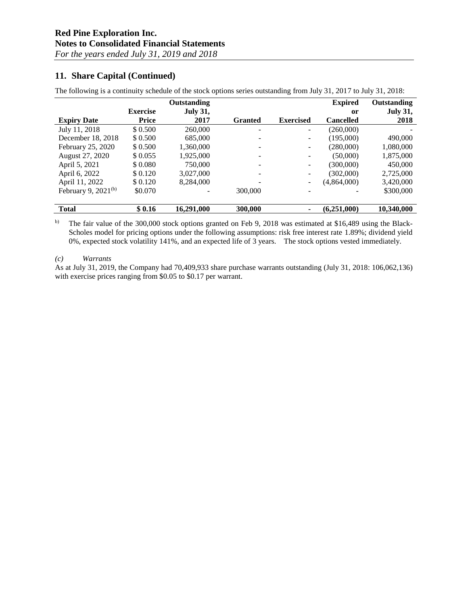The following is a continuity schedule of the stock options series outstanding from July 31, 2017 to July 31, 2018:

|                          |                 | <b>Outstanding</b> |                          |                  | <b>Expired</b>   | <b>Outstanding</b> |
|--------------------------|-----------------|--------------------|--------------------------|------------------|------------------|--------------------|
|                          | <b>Exercise</b> | <b>July 31,</b>    |                          |                  | <sub>or</sub>    | <b>July 31,</b>    |
| <b>Expiry Date</b>       | Price           | 2017               | <b>Granted</b>           | <b>Exercised</b> | <b>Cancelled</b> | 2018               |
| July 11, 2018            | \$ 0.500        | 260,000            | $\qquad \qquad -$        |                  | (260,000)        |                    |
| December 18, 2018        | \$ 0.500        | 685,000            | $\overline{\phantom{0}}$ |                  | (195,000)        | 490,000            |
| February 25, 2020        | \$ 0.500        | 1,360,000          |                          |                  | (280,000)        | 1,080,000          |
| August 27, 2020          | \$0.055         | 1,925,000          | $\overline{\phantom{a}}$ |                  | (50,000)         | 1,875,000          |
| April 5, 2021            | \$0.080         | 750,000            | $\overline{\phantom{a}}$ | -                | (300,000)        | 450,000            |
| April 6, 2022            | \$ 0.120        | 3,027,000          |                          |                  | (302,000)        | 2,725,000          |
| April 11, 2022           | \$ 0.120        | 8,284,000          | $\overline{\phantom{a}}$ | -                | (4,864,000)      | 3,420,000          |
| February 9, $2021^{(b)}$ | \$0.070         |                    | 300,000                  |                  |                  | \$300,000          |
|                          |                 |                    |                          |                  |                  |                    |
| <b>Total</b>             | \$0.16          | 16,291,000         | 300,000                  |                  | (6,251,000)      | 10,340,000         |

b) The fair value of the 300,000 stock options granted on Feb 9, 2018 was estimated at \$16,489 using the Black-Scholes model for pricing options under the following assumptions: risk free interest rate 1.89%; dividend yield 0%, expected stock volatility 141%, and an expected life of 3 years. The stock options vested immediately.

### *(c) Warrants*

As at July 31, 2019, the Company had 70,409,933 share purchase warrants outstanding (July 31, 2018: 106,062,136) with exercise prices ranging from \$0.05 to \$0.17 per warrant.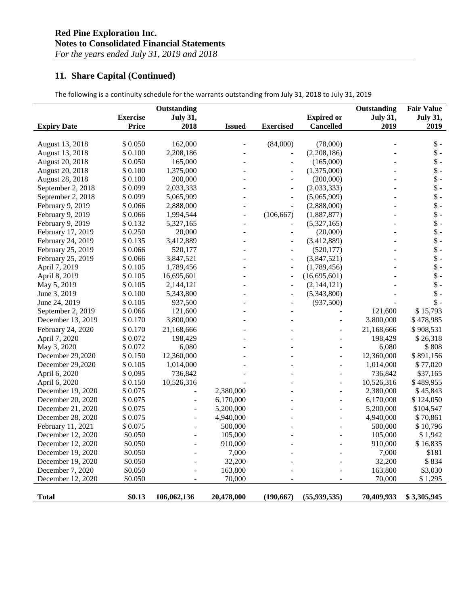The following is a continuity schedule for the warrants outstanding from July 31, 2018 to July 31, 2019

|                    |                 | Outstanding     |               |                          |                          | Outstanding     | <b>Fair Value</b> |
|--------------------|-----------------|-----------------|---------------|--------------------------|--------------------------|-----------------|-------------------|
|                    | <b>Exercise</b> | <b>July 31,</b> |               |                          | <b>Expired or</b>        | <b>July 31,</b> | <b>July 31,</b>   |
| <b>Expiry Date</b> | <b>Price</b>    | 2018            | <b>Issued</b> | <b>Exercised</b>         | <b>Cancelled</b>         | 2019            | 2019              |
| August 13, 2018    | \$0.050         | 162,000         |               | (84,000)                 | (78,000)                 |                 | $\$ -             |
| August 13, 2018    | \$0.100         | 2,208,186       |               |                          | (2,208,186)              |                 | $\$ -             |
| August 20, 2018    | \$0.050         | 165,000         |               |                          | (165,000)                |                 | $\$ -             |
| August 20, 2018    | \$0.100         | 1,375,000       |               | $\overline{a}$           | (1,375,000)              |                 | $\mathsf{\$}$ -   |
| August 28, 2018    | \$0.100         | 200,000         |               |                          | (200,000)                |                 | $\$ -             |
| September 2, 2018  | \$0.099         | 2,033,333       |               |                          | (2,033,333)              |                 | $\$ -             |
| September 2, 2018  | \$0.099         | 5,065,909       |               |                          | (5,065,909)              |                 | $\$ -             |
| February 9, 2019   | \$0.066         | 2,888,000       |               |                          | (2,888,000)              |                 | $\$ -             |
| February 9, 2019   | \$0.066         | 1,994,544       |               | (106, 667)               | (1,887,877)              |                 | $\$ -             |
| February 9, 2019   | \$0.132         | 5,327,165       | ٠             |                          | (5,327,165)              |                 | $\$ -             |
| February 17, 2019  | \$0.250         | 20,000          |               |                          | (20,000)                 |                 | $\$ -             |
| February 24, 2019  | \$0.135         | 3,412,889       |               | $\overline{\phantom{a}}$ | (3,412,889)              |                 | $\$ -             |
| February 25, 2019  | \$0.066         | 520,177         |               | $\overline{\phantom{a}}$ | (520, 177)               |                 | $\$ -             |
| February 25, 2019  | \$0.066         | 3,847,521       |               | $\overline{\phantom{a}}$ | (3,847,521)              |                 | $\$\$ -           |
| April 7, 2019      | \$0.105         | 1,789,456       |               | $\overline{\phantom{a}}$ | (1,789,456)              |                 | $\$\$ -           |
| April 8, 2019      | \$0.105         | 16,695,601      |               |                          | (16,695,601)             |                 | $\mathsf{\$}$ -   |
| May 5, 2019        | \$0.105         | 2,144,121       |               |                          | (2,144,121)              |                 | $\mathsf{\$}$ -   |
| June 3, 2019       | \$0.100         | 5,343,800       |               |                          | (5,343,800)              |                 | $\$\,$            |
| June 24, 2019      | \$0.105         | 937,500         |               |                          | (937,500)                |                 | $\$\$ -           |
| September 2, 2019  | \$0.066         | 121,600         |               |                          |                          | 121,600         | \$15,793          |
| December 13, 2019  | \$0.170         | 3,800,000       |               |                          |                          | 3,800,000       | \$478,985         |
| February 24, 2020  | \$0.170         | 21,168,666      |               |                          | $\overline{\phantom{0}}$ | 21,168,666      | \$908,531         |
| April 7, 2020      | \$0.072         | 198,429         |               |                          |                          | 198,429         | \$26,318          |
| May 3, 2020        | \$0.072         | 6,080           |               |                          |                          | 6,080           | \$808             |
| December 29,2020   | \$0.150         | 12,360,000      |               |                          |                          | 12,360,000      | \$891,156         |
| December 29,2020   | \$0.105         | 1,014,000       |               |                          | $\overline{a}$           | 1,014,000       | \$77,020          |
| April 6, 2020      | \$0.095         | 736,842         |               |                          | $\overline{\phantom{a}}$ | 736,842         | \$37,165          |
| April 6, 2020      | \$0.150         | 10,526,316      |               |                          | $\overline{a}$           | 10,526,316      | \$489,955         |
| December 19, 2020  | \$0.075         |                 | 2,380,000     |                          | $\overline{a}$           | 2,380,000       | \$45,843          |
| December 20, 2020  | \$0.075         |                 | 6,170,000     |                          |                          | 6,170,000       | \$124,050         |
| December 21, 2020  | \$0.075         |                 | 5,200,000     |                          |                          | 5,200,000       | \$104,547         |
| December 28, 2020  | \$0.075         |                 | 4,940,000     |                          |                          | 4,940,000       | \$70,861          |
| February 11, 2021  | \$0.075         |                 | 500,000       |                          |                          | 500,000         | \$10,796          |
| December 12, 2020  | \$0.050         |                 | 105,000       |                          |                          | 105,000         | \$1,942           |
| December 12, 2020  | \$0.050         |                 | 910,000       |                          |                          | 910,000         | \$16,835          |
| December 19, 2020  | \$0.050         |                 | 7,000         |                          |                          | 7,000           | \$181             |
| December 19, 2020  | \$0.050         |                 | 32,200        |                          |                          | 32,200          | \$834             |
| December 7, 2020   | \$0.050         |                 | 163,800       |                          |                          | 163,800         | \$3,030           |
| December 12, 2020  | \$0.050         |                 | 70,000        |                          |                          | 70,000          | \$1,295           |
|                    |                 |                 |               |                          |                          |                 |                   |
| <b>Total</b>       | \$0.13          | 106,062,136     | 20,478,000    | (190, 667)               | (55, 939, 535)           | 70,409,933      | \$3,305,945       |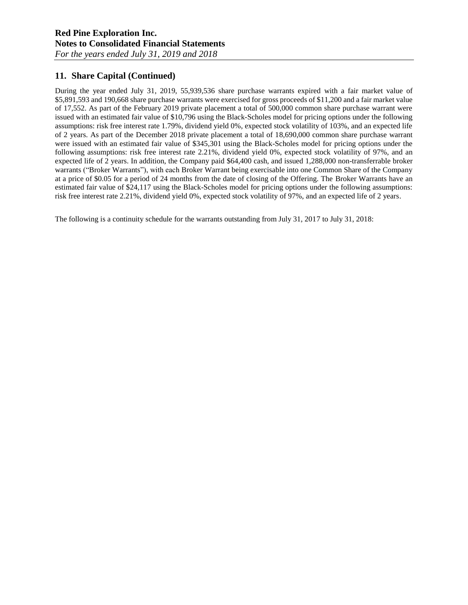During the year ended July 31, 2019, 55,939,536 share purchase warrants expired with a fair market value of \$5,891,593 and 190,668 share purchase warrants were exercised for gross proceeds of \$11,200 and a fair market value of 17,552. As part of the February 2019 private placement a total of 500,000 common share purchase warrant were issued with an estimated fair value of \$10,796 using the Black-Scholes model for pricing options under the following assumptions: risk free interest rate 1.79%, dividend yield 0%, expected stock volatility of 103%, and an expected life of 2 years. As part of the December 2018 private placement a total of 18,690,000 common share purchase warrant were issued with an estimated fair value of \$345,301 using the Black-Scholes model for pricing options under the following assumptions: risk free interest rate 2.21%, dividend yield 0%, expected stock volatility of 97%, and an expected life of 2 years. In addition, the Company paid \$64,400 cash, and issued 1,288,000 non-transferrable broker warrants ("Broker Warrants"), with each Broker Warrant being exercisable into one Common Share of the Company at a price of \$0.05 for a period of 24 months from the date of closing of the Offering. The Broker Warrants have an estimated fair value of \$24,117 using the Black-Scholes model for pricing options under the following assumptions: risk free interest rate 2.21%, dividend yield 0%, expected stock volatility of 97%, and an expected life of 2 years.

The following is a continuity schedule for the warrants outstanding from July 31, 2017 to July 31, 2018: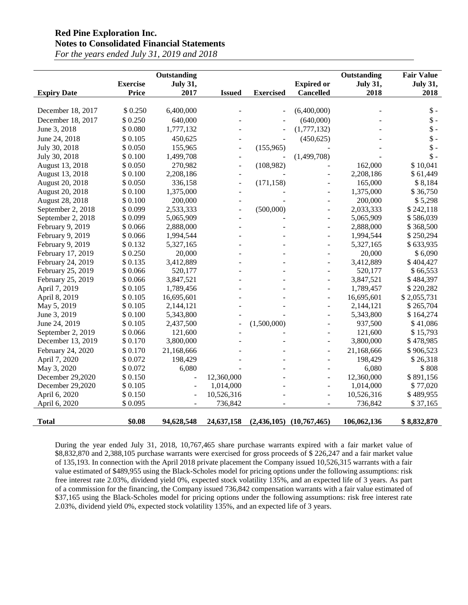## **Red Pine Exploration Inc. Notes to Consolidated Financial Statements**

*For the years ended July 31, 2019 and 2018*

|                    | <b>Exercise</b> | Outstanding<br><b>July 31,</b> |                          |                  | <b>Expired or</b>            | Outstanding<br><b>July 31,</b> | <b>Fair Value</b><br><b>July 31,</b> |
|--------------------|-----------------|--------------------------------|--------------------------|------------------|------------------------------|--------------------------------|--------------------------------------|
| <b>Expiry Date</b> | <b>Price</b>    | 2017                           | <b>Issued</b>            | <b>Exercised</b> | Cancelled                    | 2018                           | 2018                                 |
|                    |                 |                                |                          |                  |                              |                                |                                      |
| December 18, 2017  | \$0.250         | 6,400,000                      |                          |                  | (6,400,000)                  |                                | $\$ -                                |
| December 18, 2017  | \$0.250         | 640,000                        |                          |                  | (640,000)                    |                                | $\$ -                                |
| June 3, 2018       | \$0.080         | 1,777,132                      |                          |                  | (1,777,132)                  |                                | $\$ -                                |
| June 24, 2018      | \$0.105         | 450,625                        |                          |                  | (450, 625)                   |                                | $\$\$ -                              |
| July 30, 2018      | \$0.050         | 155,965                        | $\overline{a}$           | (155,965)        |                              |                                | $\mathsf{\$}$ -                      |
| July 30, 2018      | \$0.100         | 1,499,708                      | $\overline{\phantom{a}}$ |                  | (1,499,708)                  |                                | $\mathsf{\$}$ -                      |
| August 13, 2018    | \$0.050         | 270,982                        | $\overline{\phantom{0}}$ | (108,982)        |                              | 162,000                        | \$10,041                             |
| August 13, 2018    | \$0.100         | 2,208,186                      | $\blacksquare$           |                  |                              | 2,208,186                      | \$61,449                             |
| August 20, 2018    | \$0.050         | 336,158                        | $\overline{a}$           | (171, 158)       |                              | 165,000                        | \$8,184                              |
| August 20, 2018    | \$0.100         | 1,375,000                      |                          |                  |                              | 1,375,000                      | \$36,750                             |
| August 28, 2018    | \$0.100         | 200,000                        |                          |                  |                              | 200,000                        | \$5,298                              |
| September 2, 2018  | \$0.099         | 2,533,333                      |                          | (500,000)        |                              | 2,033,333                      | \$242,118                            |
| September 2, 2018  | \$0.099         | 5,065,909                      |                          |                  |                              | 5,065,909                      | \$586,039                            |
| February 9, 2019   | \$0.066         | 2,888,000                      |                          |                  |                              | 2,888,000                      | \$368,500                            |
| February 9, 2019   | \$0.066         | 1,994,544                      |                          |                  |                              | 1,994,544                      | \$250,294                            |
| February 9, 2019   | \$0.132         | 5,327,165                      |                          |                  |                              | 5,327,165                      | \$633,935                            |
| February 17, 2019  | \$0.250         | 20,000                         |                          |                  |                              | 20,000                         | \$6,090                              |
| February 24, 2019  | \$0.135         | 3,412,889                      |                          |                  |                              | 3,412,889                      | \$404,427                            |
| February 25, 2019  | \$0.066         | 520,177                        |                          |                  |                              | 520,177                        | \$66,553                             |
| February 25, 2019  | \$0.066         | 3,847,521                      |                          |                  | $\overline{a}$               | 3,847,521                      | \$484,397                            |
| April 7, 2019      | \$0.105         | 1,789,456                      |                          |                  | ÷.                           | 1,789,457                      | \$220,282                            |
| April 8, 2019      | \$0.105         | 16,695,601                     |                          |                  |                              | 16,695,601                     | \$2,055,731                          |
| May 5, 2019        | \$0.105         | 2,144,121                      |                          |                  |                              | 2,144,121                      | \$265,704                            |
| June 3, 2019       | \$0.100         | 5,343,800                      |                          |                  |                              | 5,343,800                      | \$164,274                            |
| June 24, 2019      | \$0.105         | 2,437,500                      |                          | (1,500,000)      |                              | 937,500                        | \$41,086                             |
| September 2, 2019  | \$0.066         | 121,600                        |                          |                  |                              | 121,600                        | \$15,793                             |
| December 13, 2019  | \$0.170         | 3,800,000                      |                          |                  |                              | 3,800,000                      | \$478,985                            |
| February 24, 2020  | \$0.170         | 21,168,666                     |                          |                  |                              | 21,168,666                     | \$906,523                            |
| April 7, 2020      | \$0.072         | 198,429                        |                          |                  |                              | 198,429                        | \$26,318                             |
| May 3, 2020        | \$0.072         | 6,080                          |                          |                  |                              | 6,080                          | \$808                                |
| December 29,2020   | \$0.150         | L,                             | 12,360,000               |                  | ÷,                           | 12,360,000                     | \$891,156                            |
| December 29,2020   | \$0.105         | $\overline{a}$                 | 1,014,000                |                  | $\overline{a}$               | 1,014,000                      | \$77,020                             |
| April 6, 2020      | \$0.150         | L,                             | 10,526,316               |                  | $\overline{a}$               | 10,526,316                     | \$489,955                            |
| April 6, 2020      | \$0.095         |                                | 736,842                  |                  |                              | 736,842                        | \$37,165                             |
|                    |                 |                                |                          |                  |                              |                                |                                      |
| <b>Total</b>       | \$0.08          | 94,628,548                     | 24,637,158               |                  | $(2,436,105)$ $(10,767,465)$ | 106,062,136                    | \$8,832,870                          |

During the year ended July 31, 2018, 10,767,465 share purchase warrants expired with a fair market value of \$8,832,870 and 2,388,105 purchase warrants were exercised for gross proceeds of \$ 226,247 and a fair market value of 135,193. In connection with the April 2018 private placement the Company issued 10,526,315 warrants with a fair value estimated of \$489,955 using the Black-Scholes model for pricing options under the following assumptions: risk free interest rate 2.03%, dividend yield 0%, expected stock volatility 135%, and an expected life of 3 years. As part of a commission for the financing, the Company issued 736,842 compensation warrants with a fair value estimated of \$37,165 using the Black-Scholes model for pricing options under the following assumptions: risk free interest rate 2.03%, dividend yield 0%, expected stock volatility 135%, and an expected life of 3 years.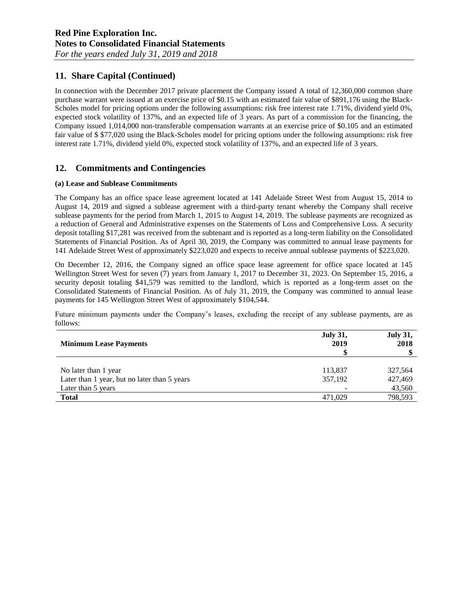In connection with the December 2017 private placement the Company issued A total of 12,360,000 common share purchase warrant were issued at an exercise price of \$0.15 with an estimated fair value of \$891,176 using the Black-Scholes model for pricing options under the following assumptions: risk free interest rate 1.71%, dividend yield 0%, expected stock volatility of 137%, and an expected life of 3 years. As part of a commission for the financing, the Company issued 1,014,000 non-transferable compensation warrants at an exercise price of \$0.105 and an estimated fair value of \$ \$77,020 using the Black-Scholes model for pricing options under the following assumptions: risk free interest rate 1.71%, dividend yield 0%, expected stock volatility of 137%, and an expected life of 3 years.

## **12. Commitments and Contingencies**

### **(a) Lease and Sublease Commitments**

The Company has an office space lease agreement located at 141 Adelaide Street West from August 15, 2014 to August 14, 2019 and signed a sublease agreement with a third-party tenant whereby the Company shall receive sublease payments for the period from March 1, 2015 to August 14, 2019. The sublease payments are recognized as a reduction of General and Administrative expenses on the Statements of Loss and Comprehensive Loss. A security deposit totalling \$17,281 was received from the subtenant and is reported as a long-term liability on the Consolidated Statements of Financial Position. As of April 30, 2019, the Company was committed to annual lease payments for 141 Adelaide Street West of approximately \$223,020 and expects to receive annual sublease payments of \$223,020.

On December 12, 2016, the Company signed an office space lease agreement for office space located at 145 Wellington Street West for seven (7) years from January 1, 2017 to December 31, 2023. On September 15, 2016, a security deposit totaling \$41,579 was remitted to the landlord, which is reported as a long-term asset on the Consolidated Statements of Financial Position. As of July 31, 2019, the Company was committed to annual lease payments for 145 Wellington Street West of approximately \$104,544.

Future minimum payments under the Company's leases, excluding the receipt of any sublease payments, are as follows:

| <b>Minimum Lease Payments</b>                | <b>July 31,</b><br>2019 | <b>July 31,</b><br>2018 |
|----------------------------------------------|-------------------------|-------------------------|
| No later than 1 year                         | 113,837                 | 327,564                 |
| Later than 1 year, but no later than 5 years | 357,192                 | 427,469                 |
| Later than 5 years                           |                         | 43,560                  |
| <b>Total</b>                                 | 471,029                 | 798,593                 |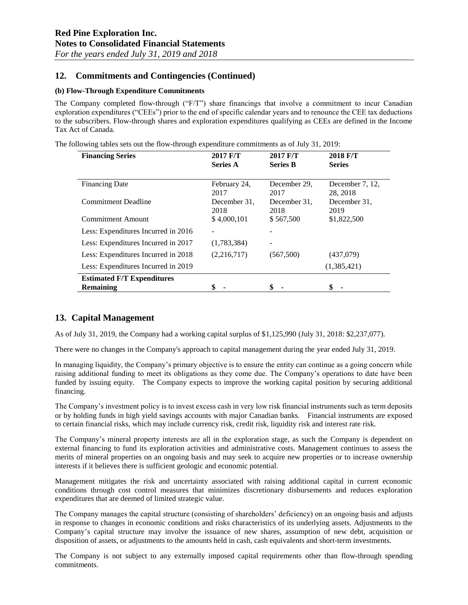## **12. Commitments and Contingencies (Continued)**

### **(b) Flow-Through Expenditure Commitments**

The Company completed flow-through ("F/T") share financings that involve a commitment to incur Canadian exploration expenditures ("CEEs") prior to the end of specific calendar years and to renounce the CEE tax deductions to the subscribers. Flow-through shares and exploration expenditures qualifying as CEEs are defined in the Income Tax Act of Canada.

|  |  |  | The following tables sets out the flow-through expenditure commitments as of July 31, 2019: |  |
|--|--|--|---------------------------------------------------------------------------------------------|--|
|  |  |  |                                                                                             |  |
|  |  |  |                                                                                             |  |
|  |  |  |                                                                                             |  |

| <b>Financing Series</b>             | 2017 F/T             | 2017 F/T             | 2018 F/T                    |
|-------------------------------------|----------------------|----------------------|-----------------------------|
|                                     | <b>Series A</b>      | <b>Series B</b>      | <b>Series</b>               |
| <b>Financing Date</b>               | February 24,<br>2017 | December 29.<br>2017 | December 7, 12,<br>28, 2018 |
| Commitment Deadline                 | December 31.<br>2018 | December 31.<br>2018 | December 31.<br>2019        |
| Commitment Amount                   | \$4,000,101          | \$567,500            | \$1,822,500                 |
| Less: Expenditures Incurred in 2016 |                      |                      |                             |
| Less: Expenditures Incurred in 2017 | (1,783,384)          |                      |                             |
| Less: Expenditures Incurred in 2018 | (2,216,717)          | (567.500)            | (437,079)                   |
| Less: Expenditures Incurred in 2019 |                      |                      | (1,385,421)                 |
| <b>Estimated F/T Expenditures</b>   |                      |                      |                             |
| <b>Remaining</b>                    | \$                   | \$                   |                             |

## **13. Capital Management**

As of July 31, 2019, the Company had a working capital surplus of \$1,125,990 (July 31, 2018: \$2,237,077).

There were no changes in the Company's approach to capital management during the year ended July 31, 2019.

In managing liquidity, the Company's primary objective is to ensure the entity can continue as a going concern while raising additional funding to meet its obligations as they come due. The Company's operations to date have been funded by issuing equity. The Company expects to improve the working capital position by securing additional financing.

The Company's investment policy is to invest excess cash in very low risk financial instruments such as term deposits or by holding funds in high yield savings accounts with major Canadian banks. Financial instruments are exposed to certain financial risks, which may include currency risk, credit risk, liquidity risk and interest rate risk.

The Company's mineral property interests are all in the exploration stage, as such the Company is dependent on external financing to fund its exploration activities and administrative costs. Management continues to assess the merits of mineral properties on an ongoing basis and may seek to acquire new properties or to increase ownership interests if it believes there is sufficient geologic and economic potential.

Management mitigates the risk and uncertainty associated with raising additional capital in current economic conditions through cost control measures that minimizes discretionary disbursements and reduces exploration expenditures that are deemed of limited strategic value.

The Company manages the capital structure (consisting of shareholders' deficiency) on an ongoing basis and adjusts in response to changes in economic conditions and risks characteristics of its underlying assets. Adjustments to the Company's capital structure may involve the issuance of new shares, assumption of new debt, acquisition or disposition of assets, or adjustments to the amounts held in cash, cash equivalents and short-term investments.

The Company is not subject to any externally imposed capital requirements other than flow-through spending commitments.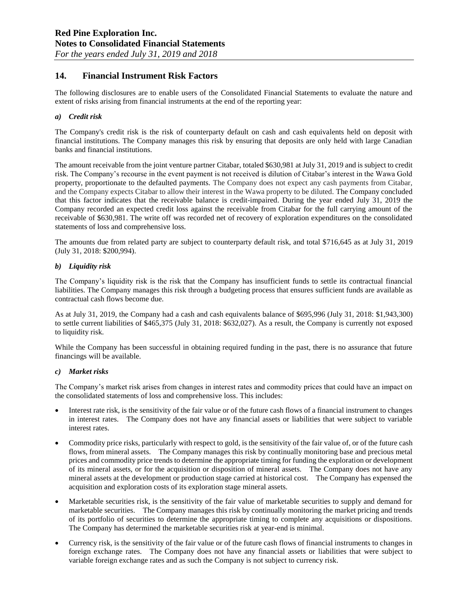## **14. Financial Instrument Risk Factors**

The following disclosures are to enable users of the Consolidated Financial Statements to evaluate the nature and extent of risks arising from financial instruments at the end of the reporting year:

### *a) Credit risk*

The Company's credit risk is the risk of counterparty default on cash and cash equivalents held on deposit with financial institutions. The Company manages this risk by ensuring that deposits are only held with large Canadian banks and financial institutions.

The amount receivable from the joint venture partner Citabar, totaled \$630,981 at July 31, 2019 and is subject to credit risk. The Company's recourse in the event payment is not received is dilution of Citabar's interest in the Wawa Gold property, proportionate to the defaulted payments. The Company does not expect any cash payments from Citabar, and the Company expects Citabar to allow their interest in the Wawa property to be diluted. The Company concluded that this factor indicates that the receivable balance is credit-impaired. During the year ended July 31, 2019 the Company recorded an expected credit loss against the receivable from Citabar for the full carrying amount of the receivable of \$630,981. The write off was recorded net of recovery of exploration expenditures on the consolidated statements of loss and comprehensive loss.

The amounts due from related party are subject to counterparty default risk, and total \$716,645 as at July 31, 2019 (July 31, 2018: \$200,994).

### *b) Liquidity risk*

The Company's liquidity risk is the risk that the Company has insufficient funds to settle its contractual financial liabilities. The Company manages this risk through a budgeting process that ensures sufficient funds are available as contractual cash flows become due.

As at July 31, 2019, the Company had a cash and cash equivalents balance of \$695,996 (July 31, 2018: \$1,943,300) to settle current liabilities of \$465,375 (July 31, 2018: \$632,027). As a result, the Company is currently not exposed to liquidity risk.

While the Company has been successful in obtaining required funding in the past, there is no assurance that future financings will be available.

### *c) Market risks*

The Company's market risk arises from changes in interest rates and commodity prices that could have an impact on the consolidated statements of loss and comprehensive loss. This includes:

- Interest rate risk, is the sensitivity of the fair value or of the future cash flows of a financial instrument to changes in interest rates. The Company does not have any financial assets or liabilities that were subject to variable interest rates.
- Commodity price risks, particularly with respect to gold, is the sensitivity of the fair value of, or of the future cash flows, from mineral assets. The Company manages this risk by continually monitoring base and precious metal prices and commodity price trends to determine the appropriate timing for funding the exploration or development of its mineral assets, or for the acquisition or disposition of mineral assets. The Company does not have any mineral assets at the development or production stage carried at historical cost. The Company has expensed the acquisition and exploration costs of its exploration stage mineral assets.
- Marketable securities risk, is the sensitivity of the fair value of marketable securities to supply and demand for marketable securities. The Company manages this risk by continually monitoring the market pricing and trends of its portfolio of securities to determine the appropriate timing to complete any acquisitions or dispositions. The Company has determined the marketable securities risk at year-end is minimal.
- Currency risk, is the sensitivity of the fair value or of the future cash flows of financial instruments to changes in foreign exchange rates. The Company does not have any financial assets or liabilities that were subject to variable foreign exchange rates and as such the Company is not subject to currency risk.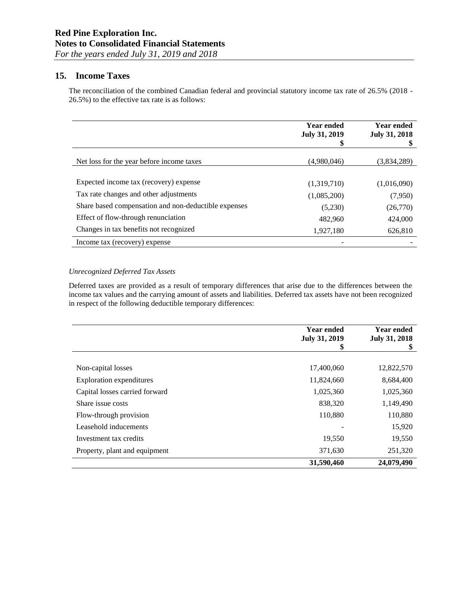## **15. Income Taxes**

The reconciliation of the combined Canadian federal and provincial statutory income tax rate of 26.5% (2018 - 26.5%) to the effective tax rate is as follows:

|                                                      | <b>Year ended</b><br><b>July 31, 2019</b><br>\$ | <b>Year ended</b><br><b>July 31, 2018</b> |
|------------------------------------------------------|-------------------------------------------------|-------------------------------------------|
| Net loss for the year before income taxes            | (4,980,046)                                     | (3,834,289)                               |
|                                                      |                                                 |                                           |
| Expected income tax (recovery) expense               | (1,319,710)                                     | (1,016,090)                               |
| Tax rate changes and other adjustments               | (1,085,200)                                     | (7,950)                                   |
| Share based compensation and non-deductible expenses | (5,230)                                         | (26,770)                                  |
| Effect of flow-through renunciation                  | 482,960                                         | 424,000                                   |
| Changes in tax benefits not recognized               | 1,927,180                                       | 626,810                                   |
| Income tax (recovery) expense                        |                                                 |                                           |

### *Unrecognized Deferred Tax Assets*

Deferred taxes are provided as a result of temporary differences that arise due to the differences between the income tax values and the carrying amount of assets and liabilities. Deferred tax assets have not been recognized in respect of the following deductible temporary differences:

|                                 | <b>Year ended</b><br><b>July 31, 2019</b><br>\$ | <b>Year ended</b><br><b>July 31, 2018</b><br>\$ |
|---------------------------------|-------------------------------------------------|-------------------------------------------------|
|                                 |                                                 |                                                 |
| Non-capital losses              | 17,400,060                                      | 12,822,570                                      |
| <b>Exploration</b> expenditures | 11,824,660                                      | 8,684,400                                       |
| Capital losses carried forward  | 1,025,360                                       | 1,025,360                                       |
| Share issue costs               | 838,320                                         | 1,149,490                                       |
| Flow-through provision          | 110,880                                         | 110,880                                         |
| Leasehold inducements           |                                                 | 15,920                                          |
| Investment tax credits          | 19,550                                          | 19,550                                          |
| Property, plant and equipment   | 371,630                                         | 251,320                                         |
|                                 | 31,590,460                                      | 24,079,490                                      |